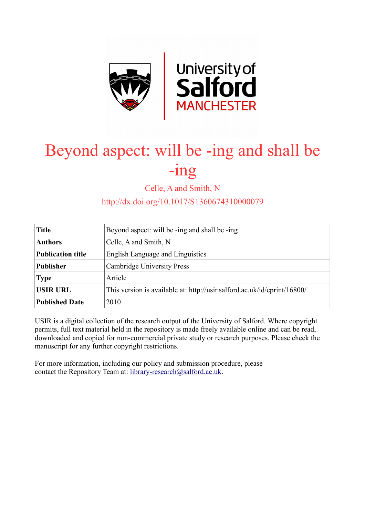

# Beyond aspect: will be -ing and shall be -ing

Celle, A and Smith, N

http://dx.doi.org/10.1017/S1360674310000079

| <b>Title</b>             | Beyond aspect: will be -ing and shall be -ing                            |  |  |
|--------------------------|--------------------------------------------------------------------------|--|--|
| <b>Authors</b>           | Celle, A and Smith, N                                                    |  |  |
| <b>Publication title</b> | English Language and Linguistics                                         |  |  |
| <b>Publisher</b>         | <b>Cambridge University Press</b>                                        |  |  |
| <b>Type</b>              | Article                                                                  |  |  |
| <b>USIR URL</b>          | This version is available at: http://usir.salford.ac.uk/id/eprint/16800/ |  |  |
| <b>Published Date</b>    | 2010                                                                     |  |  |

USIR is a digital collection of the research output of the University of Salford. Where copyright permits, full text material held in the repository is made freely available online and can be read, downloaded and copied for non-commercial private study or research purposes. Please check the manuscript for any further copyright restrictions.

For more information, including our policy and submission procedure, please contact the Repository Team at: [library-research@salford.ac.uk.](mailto:library-research@salford.ac.uk)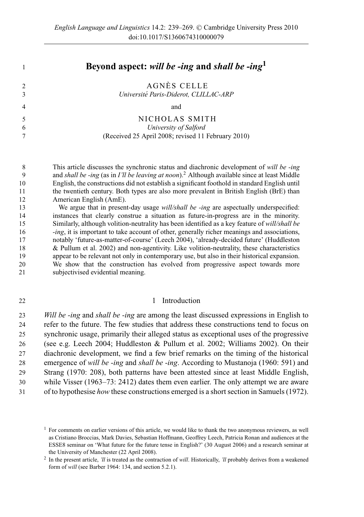### **Beyond aspect:** *will be -ing* **and** *shall be -ing***<sup>1</sup>** <sup>1</sup>

| 2<br>$\mathcal{E}$ | AGNÈS CELLE<br>Université Paris-Diderot, CLILLAC-ARP |
|--------------------|------------------------------------------------------|
| 4                  | and                                                  |
| 5                  | NICHOLAS SMITH                                       |
| 6                  | University of Salford                                |
|                    | (Received 25 April 2008; revised 11 February 2010)   |

This article discusses the synchronic status and diachronic development of *will be -ing* and *shall be -ing* (as in *I'll be leaving at noon*).2 Although available since at least Middle English, the constructions did not establish a significant foothold in standard English until the twentieth century. Both types are also more prevalent in British English (BrE) than

American English (AmE). We argue that in present-day usage *will/shall be -ing* are aspectually underspecified: instances that clearly construe a situation as future-in-progress are in the minority. Similarly, although volition-neutrality has been identified as a key feature of *will/shall be -ing*, it is important to take account of other, generally richer meanings and associations, notably 'future-as-matter-of-course' (Leech 2004), 'already-decided future' (Huddleston & Pullum et al. 2002) and non-agentivity. Like volition-neutrality, these characteristics appear to be relevant not only in contemporary use, but also in their historical expansion. We show that the construction has evolved from progressive aspect towards more subjectivised evidential meaning. 12 13 14 15 16 17 18 19 20 21

#### 22 1 Introduction

 *Will be -ing* and *shall be -ing* are among the least discussed expressions in English to refer to the future. The few studies that address these constructions tend to focus on synchronic usage, primarily their alleged status as exceptional uses of the progressive (see e.g. Leech 2004; Huddleston & Pullum et al. 2002; Williams 2002). On their diachronic development, we find a few brief remarks on the timing of the historical emergence of *will be -ing* and *shall be -ing*. According to Mustanoja (1960: 591) and Strang (1970: 208), both patterns have been attested since at least Middle English, while Visser (1963–73: 2412) dates them even earlier. The only attempt we are aware of to hypothesise *how* these constructions emerged is a short section in Samuels (1972).

<sup>&</sup>lt;sup>1</sup> For comments on earlier versions of this article, we would like to thank the two anonymous reviewers, as well as Cristiano Broccias, Mark Davies, Sebastian Hoffmann, Geoffrey Leech, Patricia Ronan and audiences at the ESSE8 seminar on 'What future for the future tense in English?' (30 August 2006) and a research seminar at the University of Manchester (22 April 2008).

<sup>2</sup> In the present article, *'ll* is treated as the contraction of *will*. Historically, *'ll* probably derives from a weakened form of *will* (see Barber 1964: 134, and section 5.2.1).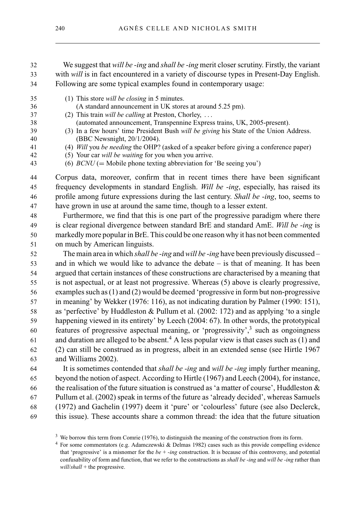We suggest that *will be -ing* and *shall be -ing* merit closer scrutiny. Firstly, the variant with *will* is in fact encountered in a variety of discourse types in Present-Day English. Following are some typical examples found in contemporary usage:

- 
- (1) This store *will be closing* in 5 minutes.
- (A standard announcement in UK stores at around 5.25 pm).
- (2) This train *will be calling* at Preston, Chorley, . . .
- (automated announcement, Transpennine Express trains, UK, 2005-present).
- (3) In a few hours' time President Bush *will be giving* his State of the Union Address. (BBC Newsnight, 20/1/2004).
- (4) *Will* you *be needing* the OHP? (asked of a speaker before giving a conference paper)
- (5) Your car *will be waiting* for you when you arrive.
- 43 (6)  $BCNU$  (= Mobile phone texting abbreviation for 'Be seeing you')

 Corpus data, moreover, confirm that in recent times there have been significant frequency developments in standard English. *Will be -ing*, especially, has raised its profile among future expressions during the last century. *Shall be -ing*, too, seems to have grown in use at around the same time, though to a lesser extent.

 Furthermore, we find that this is one part of the progressive paradigm where there is clear regional divergence between standard BrE and standard AmE. *Will be -ing* is markedly more popular in BrE. This could be one reason why it has not been commented on much by American linguists.

 The main area in which *shall be -ing* and*will be -ing* have been previously discussed – and in which we would like to advance the debate – is that of meaning. It has been argued that certain instances of these constructions are characterised by a meaning that is not aspectual, or at least not progressive. Whereas (5) above is clearly progressive, examples such as (1) and (2) would be deemed 'progressive in form but non-progressive in meaning' by Wekker (1976: 116), as not indicating duration by Palmer (1990: 151), as 'perfective' by Huddleston & Pullum et al. (2002: 172) and as applying 'to a single happening viewed in its entirety' by Leech (2004: 67). In other words, the prototypical features of progressive aspectual meaning, or 'progressivity',<sup>3</sup> such as ongoingness 61 and duration are alleged to be absent.<sup>4</sup> A less popular view is that cases such as (1) and (2) can still be construed as in progress, albeit in an extended sense (see Hirtle 1967 and Williams 2002).

 It is sometimes contended that *shall be -ing* and *will be -ing* imply further meaning, beyond the notion of aspect. According to Hirtle (1967) and Leech (2004), for instance, 66 the realisation of the future situation is construed as 'a matter of course', Huddleston  $\&$  Pullum et al. (2002) speak in terms of the future as 'already decided', whereas Samuels (1972) and Gachelin (1997) deem it 'pure' or 'colourless' future (see also Declerck, this issue). These accounts share a common thread: the idea that the future situation

 $3\,$  We borrow this term from Comrie (1976), to distinguish the meaning of the construction from its form.

 For some commentators (e.g. Adamczewski & Delmas 1982) cases such as this provide compelling evidence that 'progressive' is a misnomer for the *be* + *-ing* construction. It is because of this controversy, and potential confusability of form and function, that we refer to the constructions as *shall be -ing* and *will be -ing* rather than *will*/*shall* + the progressive.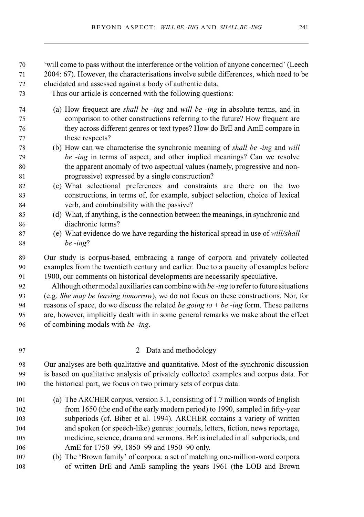'will come to pass without the interference or the volition of anyone concerned' (Leech 2004: 67). However, the characterisations involve subtle differences, which need to be

- elucidated and assessed against a body of authentic data.
- Thus our article is concerned with the following questions:
- (a) How frequent are *shall be -ing* and *will be -ing* in absolute terms, and in comparison to other constructions referring to the future? How frequent are they across different genres or text types? How do BrE and AmE compare in these respects?
- (b) How can we characterise the synchronic meaning of *shall be -ing* and *will be -ing* in terms of aspect, and other implied meanings? Can we resolve the apparent anomaly of two aspectual values (namely, progressive and non-progressive) expressed by a single construction?
- (c) What selectional preferences and constraints are there on the two constructions, in terms of, for example, subject selection, choice of lexical verb, and combinability with the passive?
- (d) What, if anything, is the connection between the meanings, in synchronic and diachronic terms?
- (e) What evidence do we have regarding the historical spread in use of *will/shall be -ing*?
- Our study is corpus-based, embracing a range of corpora and privately collected examples from the twentieth century and earlier. Due to a paucity of examples before 1900, our comments on historical developments are necessarily speculative.

 Although other modal auxiliaries can combine with *be -ing* to refer to future situations (e.g. *She may be leaving tomorrow*), we do not focus on these constructions. Nor, for reasons of space, do we discuss the related *be going to* + *be -ing* form. These patterns are, however, implicitly dealt with in some general remarks we make about the effect of combining modals with *be -ing*.

2 Data and methodology

 Our analyses are both qualitative and quantitative. Most of the synchronic discussion is based on qualitative analysis of privately collected examples and corpus data. For the historical part, we focus on two primary sets of corpus data:

- (a) The ARCHER corpus, version 3.1, consisting of 1.7 million words of English from 1650 (the end of the early modern period) to 1990, sampled in fifty-year subperiods (cf. Biber et al. 1994). ARCHER contains a variety of written and spoken (or speech-like) genres: journals, letters, fiction, news reportage, medicine, science, drama and sermons. BrE is included in all subperiods, and AmE for 1750–99, 1850–99 and 1950–90 only.
- (b) The 'Brown family' of corpora: a set of matching one-million-word corpora of written BrE and AmE sampling the years 1961 (the LOB and Brown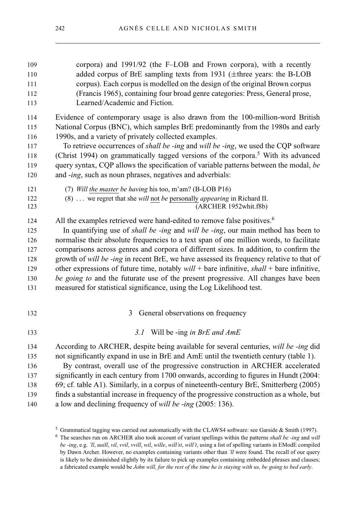| 109 | corpora) and 1991/92 (the F-LOB and Frown corpora), with a recently                            |
|-----|------------------------------------------------------------------------------------------------|
| 110 | added corpus of BrE sampling texts from $1931$ ( $\pm$ three years: the B-LOB                  |
| 111 | corpus). Each corpus is modelled on the design of the original Brown corpus                    |
| 112 | (Francis 1965), containing four broad genre categories: Press, General prose,                  |
| 113 | Learned/Academic and Fiction.                                                                  |
| 114 | Evidence of contemporary usage is also drawn from the 100-million-word British                 |
| 115 | National Corpus (BNC), which samples BrE predominantly from the 1980s and early                |
| 116 | 1990s, and a variety of privately collected examples.                                          |
| 117 | To retrieve occurrences of shall be -ing and will be -ing, we used the CQP software            |
| 118 | (Christ 1994) on grammatically tagged versions of the corpora. <sup>5</sup> With its advanced  |
| 119 | query syntax, CQP allows the specification of variable patterns between the modal, be          |
| 120 | and -ing, such as noun phrases, negatives and adverbials:                                      |
| 121 | (7) Will the master be having his too, m'am? (B-LOB P16)                                       |
| 122 | (8)  we regret that she will not be personally appearing in Richard II.                        |
| 123 | (ARCHER 1952whit.f8b)                                                                          |
| 124 | All the examples retrieved were hand-edited to remove false positives. <sup>6</sup>            |
| 125 | In quantifying use of shall be -ing and will be -ing, our main method has been to              |
| 126 | normalise their absolute frequencies to a text span of one million words, to facilitate        |
| 127 | comparisons across genres and corpora of different sizes. In addition, to confirm the          |
| 128 | growth of will be -ing in recent BrE, we have assessed its frequency relative to that of       |
| 129 | other expressions of future time, notably $will$ + bare infinitive, $shall$ + bare infinitive, |
| 130 | be going to and the futurate use of the present progressive. All changes have been             |
| 131 | measured for statistical significance, using the Log Likelihood test.                          |
|     |                                                                                                |
| 132 | General observations on frequency<br>3                                                         |
| 133 | 3.1<br>Will be -ing in BrE and AmE                                                             |
| 134 | According to ARCHER, despite being available for several centuries, will be -ing did           |
| 135 | not significantly expand in use in BrE and AmE until the twentieth century (table 1).          |
| 136 | By contrast, overall use of the progressive construction in ARCHER accelerated                 |
| 137 | significantly in each century from 1700 onwards, according to figures in Hundt (2004:          |
| 138 | 69; cf. table A1). Similarly, in a corpus of nineteenth-century BrE, Smitterberg (2005)        |
| 139 | finds a substantial increase in frequency of the progressive construction as a whole, but      |
| 140 | a low and declining frequency of <i>will be -ing</i> (2005: 136).                              |
|     |                                                                                                |
|     |                                                                                                |

Grammatical tagging was carried out automatically with the CLAWS4 software: see Garside & Smith (1997).

 The searches run on ARCHER also took account of variant spellings within the patterns *shall be -ing* and *will be -ing*, e.g. *'ll*, *uuill*, *vil*, *vvil*, *vvill*, *wil*, *wille*, *will'st*, *will't*, using a list of spelling variants in EModE compiled by Dawn Archer. However, no examples containing variants other than *'ll* were found. The recall of our query is likely to be diminished slightly by its failure to pick up examples containing embedded phrases and clauses; a fabricated example would be *John will, for the rest of the time he is staying with us, be going to bed early*.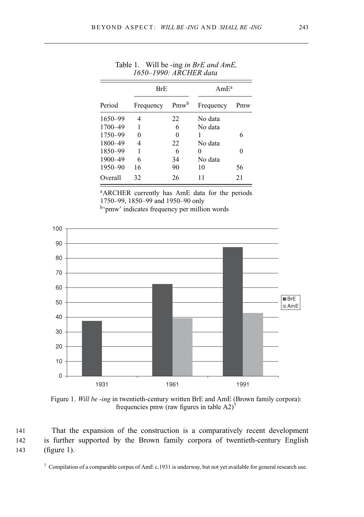|             |           | BrE              |           | AmE <sup>a</sup> |
|-------------|-----------|------------------|-----------|------------------|
| Period      | Frequency | Pmw <sup>b</sup> | Frequency | Pmw              |
| 1650–99     | 4         | 22               | No data   |                  |
| 1700-49     |           | 6                | No data   |                  |
| 1750-99     | $_{0}$    | 0                |           | 6                |
| 1800-49     | 4         | 22               | No data   |                  |
| 1850-99     |           | 6                | 0         |                  |
| 1900-49     | 6         | 34               | No data   |                  |
| $1950 - 90$ | 16        | 90               | 10        | 56               |
| Overall     | 32        | 26               | 11        | 21               |

| Table 1. Will be -ing in BrE and AmE, |  |
|---------------------------------------|--|
| 1650–1990: ARCHER data                |  |

aARCHER currently has AmE data for the periods 1750–99, 1850–99 and 1950–90 only b'pmw' indicates frequency per million words



Figure 1. *Will be -ing* in twentieth-century written BrE and AmE (Brown family corpora): frequencies pmw (raw figures in table A2) $\hat{7}$ 

141 That the expansion of the construction is a comparatively recent development 142 is further supported by the Brown family corpora of twentieth-century English 143 (figure 1).

<sup>7</sup> Compilation of a comparable corpus of AmE c.1931 is underway, but not yet available for general research use.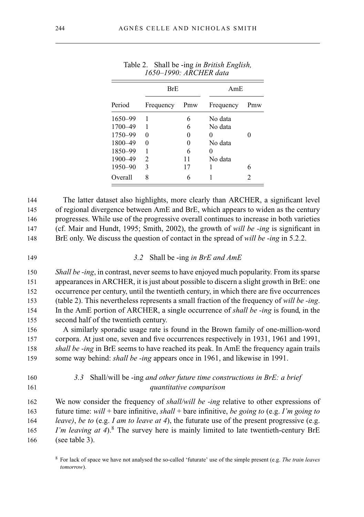|         | <b>BrE</b> |     | AmE       |     |
|---------|------------|-----|-----------|-----|
| Period  | Frequency  | Pmw | Frequency | Pmw |
| 1650-99 | 1          | 6   | No data   |     |
| 1700-49 | 1          | 6   | No data   |     |
| 1750-99 | 0          | 0   | 0         |     |
| 1800-49 | 0          | 0   | No data   |     |
| 1850-99 |            | 6   | 0         |     |
| 1900–49 | 2          | 11  | No data   |     |
| 1950-90 | 3          | 17  |           | 6   |
| Overall | 8          | 6   |           |     |

Table 2. Shall be -ing *in British English, 1650–1990: ARCHER data*

 The latter dataset also highlights, more clearly than ARCHER, a significant level of regional divergence between AmE and BrE, which appears to widen as the century progresses. While use of the progressive overall continues to increase in both varieties (cf. Mair and Hundt, 1995; Smith, 2002), the growth of *will be -ing* is significant in BrE only. We discuss the question of contact in the spread of *will be -ing* in 5.2.2.

#### *3.2* Shall be -ing *in BrE and AmE*

 *Shall be -ing*, in contrast, never seems to have enjoyed much popularity. From its sparse appearances in ARCHER, it is just about possible to discern a slight growth in BrE: one occurrence per century, until the twentieth century, in which there are five occurrences (table 2). This nevertheless represents a small fraction of the frequency of *will be -ing*. In the AmE portion of ARCHER, a single occurrence of *shall be -ing* is found, in the second half of the twentieth century.

 A similarly sporadic usage rate is found in the Brown family of one-million-word corpora. At just one, seven and five occurrences respectively in 1931, 1961 and 1991, *shall be -ing* in BrE seems to have reached its peak. In AmE the frequency again trails some way behind: *shall be -ing* appears once in 1961, and likewise in 1991.

#### *3.3* Shall/will be -ing *and other future time constructions in BrE: a brief quantitative comparison*

 We now consider the frequency of *shall/will be -ing* relative to other expressions of future time: *will* + bare infinitive, *shall* + bare infinitive, *be going to* (e.g. *I'm going to leave)*, *be to* (e.g. *I am to leave at 4*), the futurate use of the present progressive (e.g. *I'm leaving at 4*).<sup>8</sup> The survey here is mainly limited to late twentieth-century BrE (see table 3).

 For lack of space we have not analysed the so-called 'futurate' use of the simple present (e.g. *The train leaves tomorrow*).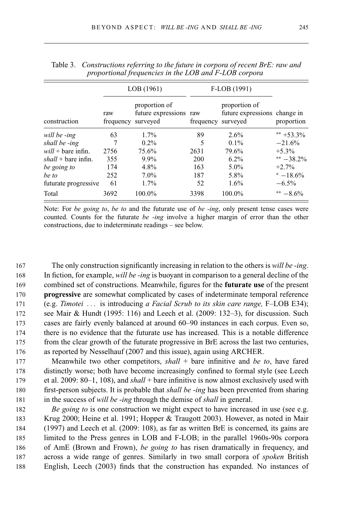|                       | LOB (1961)       |                                                     | F-LOB (1991)       |                                               |              |  |
|-----------------------|------------------|-----------------------------------------------------|--------------------|-----------------------------------------------|--------------|--|
| construction          | raw<br>frequency | proportion of<br>future expressions raw<br>surveyed | frequency surveyed | proportion of<br>future expressions change in | proportion   |  |
| will be -ing          | 63               | $1.7\%$                                             | 89                 | $2.6\%$                                       | ** $+53.3\%$ |  |
| shall be -ing         | 7                | $0.2\%$                                             | 5                  | $0.1\%$                                       | $-21.6%$     |  |
| $will + bare infin.$  | 2756             | 75.6%                                               | 2631               | 79.6%                                         | $+5.3\%$     |  |
| $shall + bare$ infin. | 355              | 9.9%                                                | <b>200</b>         | $6.2\%$                                       | ** $-38.2\%$ |  |
| be going to           | 174              | $4.8\%$                                             | 163                | $5.0\%$                                       | $+2.7\%$     |  |
| be to                 | 252              | $7.0\%$                                             | 187                | 5.8%                                          | $* -18.6\%$  |  |
| futurate progressive  | 61               | $1.7\%$                                             | 52                 | $1.6\%$                                       | $-6.5\%$     |  |
| Total                 | 3692             | 100.0%                                              | 3398               | 100.0%                                        | ** $-8.6%$   |  |

Table 3. *Constructions referring to the future in corpora of recent BrE: raw and proportional frequencies in the LOB and F-LOB corpora*

Note: For *be going to*, *be to* and the futurate use of *be -ing*, only present tense cases were counted. Counts for the futurate *be -ing* involve a higher margin of error than the other constructions, due to indeterminate readings – see below.

 The only construction significantly increasing in relation to the others is *will be -ing*. In fiction, for example, *will be -ing* is buoyant in comparison to a general decline of the combined set of constructions. Meanwhile, figures for the **futurate use** of the present **progressive** are somewhat complicated by cases of indeterminate temporal reference (e.g. *Timotei . . .* is introducing *a Facial Scrub to its skin care range,* F–LOB E34); see Mair & Hundt (1995: 116) and Leech et al. (2009: 132–3), for discussion. Such cases are fairly evenly balanced at around 60–90 instances in each corpus. Even so, there is no evidence that the futurate use has increased. This is a notable difference from the clear growth of the futurate progressive in BrE across the last two centuries, as reported by Nesselhauf (2007 and this issue), again using ARCHER.

 Meanwhile two other competitors, *shall* + bare infinitive and *be to*, have fared distinctly worse; both have become increasingly confined to formal style (see Leech et al. 2009: 80–1, 108), and *shall* + bare infinitive is now almost exclusively used with first-person subjects. It is probable that *shall be -ing* has been prevented from sharing in the success of *will be -ing* through the demise of *shall* in general.

 *Be going to* is one construction we might expect to have increased in use (see e.g. Krug 2000; Heine et al. 1991; Hopper & Traugott 2003). However, as noted in Mair (1997) and Leech et al. (2009: 108), as far as written BrE is concerned, its gains are limited to the Press genres in LOB and F-LOB; in the parallel 1960s-90s corpora of AmE (Brown and Frown), *be going to* has risen dramatically in frequency, and across a wide range of genres. Similarly in two small corpora of *spoken* British English, Leech (2003) finds that the construction has expanded. No instances of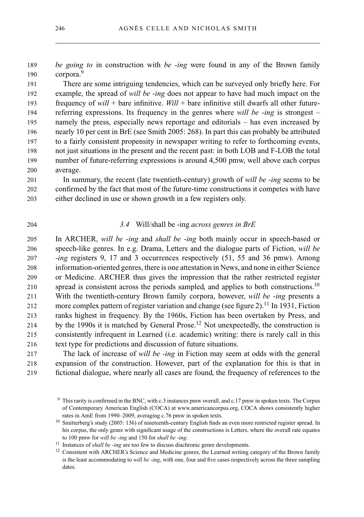*be going to* in construction with *be -ing* were found in any of the Brown family 190 corpora.<sup>9</sup>

 There are some intriguing tendencies, which can be surveyed only briefly here. For example, the spread of *will be -ing* does not appear to have had much impact on the frequency of *will* + bare infinitive. *Will* + bare infinitive still dwarfs all other future- referring expressions. Its frequency in the genres where *will be -ing* is strongest – namely the press, especially news reportage and editorials – has even increased by nearly 10 per cent in BrE (see Smith 2005: 268). In part this can probably be attributed to a fairly consistent propensity in newspaper writing to refer to forthcoming events, not just situations in the present and the recent past: in both LOB and F-LOB the total number of future-referring expressions is around 4,500 pmw, well above each corpus average.

 In summary, the recent (late twentieth-century) growth of *will be -ing* seems to be confirmed by the fact that most of the future-time constructions it competes with have either declined in use or shown growth in a few registers only.

#### *3.4* Will/shall be -ing *across genres in BrE*

 In ARCHER, *will be -ing* and *shall be -ing* both mainly occur in speech-based or speech-like genres. In e.g. Drama, Letters and the dialogue parts of Fiction, *will be -ing* registers 9, 17 and 3 occurrences respectively (51, 55 and 36 pmw). Among information-oriented genres, there is one attestation in News, and none in either Science or Medicine. ARCHER thus gives the impression that the rather restricted register spread is consistent across the periods sampled, and applies to both constructions.<sup>10</sup> With the twentieth-century Brown family corpora, however, *will be -ing* presents a 212 more complex pattern of register variation and change (see figure 2).<sup>11</sup> In 1931, Fiction ranks highest in frequency. By the 1960s, Fiction has been overtaken by Press, and 214 by the 1990s it is matched by General Prose.<sup>12</sup> Not unexpectedly, the construction is consistently infrequent in Learned (i.e. academic) writing: there is rarely call in this text type for predictions and discussion of future situations.

 The lack of increase of *will be -ing* in Fiction may seem at odds with the general expansion of the construction. However, part of the explanation for this is that in fictional dialogue, where nearly all cases are found, the frequency of references to the

 This rarity is confirmed in the BNC, with c.3 instances pmw overall, and c.17 pmw in spoken texts. The Corpus of Contemporary American English (COCA) at www.americancorpus.org, COCA shows consistently higher rates in AmE from 1990–2009, averaging c.76 pmw in spoken texts.

<sup>&</sup>lt;sup>10</sup> Smitterberg's study (2005: 136) of nineteenth-century English finds an even more restricted register spread. In his corpus, the only genre with significant usage of the constructions is Letters, where the overall rate equates to 100 pmw for *will be -ing* and 150 for *shall be -ing*.

<sup>&</sup>lt;sup>11</sup> Instances of *shall be -ing* are too few to discuss diachronic genre developments.

<sup>&</sup>lt;sup>12</sup> Consistent with ARCHER's Science and Medicine genres, the Learned writing category of the Brown family is the least accommodating to *will be -ing*, with one, four and five cases respectively across the three sampling dates.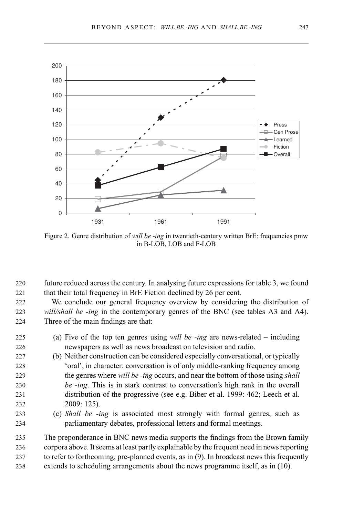

Figure 2. Genre distribution of *will be -ing* in twentieth-century written BrE: frequencies pmw in B-LOB, LOB and F-LOB

 future reduced across the century. In analysing future expressions for table 3, we found that their total frequency in BrE Fiction declined by 26 per cent.

 We conclude our general frequency overview by considering the distribution of *will/shall be -ing* in the contemporary genres of the BNC (see tables A3 and A4). Three of the main findings are that:

- (a) Five of the top ten genres using *will be -ing* are news-related including newspapers as well as news broadcast on television and radio.
- (b) Neither construction can be considered especially conversational, or typically 'oral', in character: conversation is of only middle-ranking frequency among the genres where *will be -ing* occurs, and near the bottom of those using *shall be -ing*. This is in stark contrast to conversation's high rank in the overall distribution of the progressive (see e.g. Biber et al. 1999: 462; Leech et al. 2009: 125).
- (c) *Shall be -ing* is associated most strongly with formal genres, such as parliamentary debates, professional letters and formal meetings.

 The preponderance in BNC news media supports the findings from the Brown family corpora above. It seems at least partly explainable by the frequent need in news reporting to refer to forthcoming, pre-planned events, as in (9). In broadcast news this frequently extends to scheduling arrangements about the news programme itself, as in (10).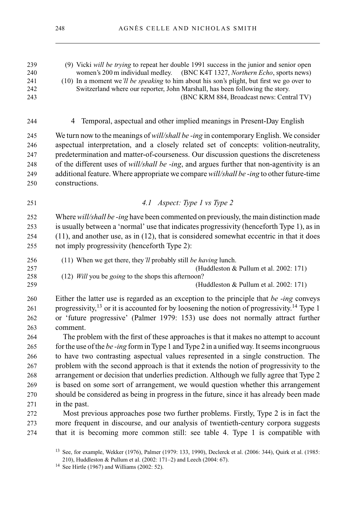(9) Vicki *will be trying* to repeat her double 1991 success in the junior and senior open women's 200 m individual medley. (BNC K4T 1327, *Northern Echo*, sports news) (10) In a moment we*'ll be speaking* to him about his son's plight, but first we go over to Switzerland where our reporter, John Marshall, has been following the story. (BNC KRM 884, Broadcast news: Central TV)

4 Temporal, aspectual and other implied meanings in Present-Day English

 We turn now to the meanings of *will/shall be -ing* in contemporary English. We consider aspectual interpretation, and a closely related set of concepts: volition-neutrality, predetermination and matter-of-courseness. Our discussion questions the discreteness of the different uses of *will/shall be -ing*, and argues further that non-agentivity is an additional feature. Where appropriate we compare *will/shall be -ing* to other future-time constructions.

*4.1 Aspect: Type 1 vs Type 2*

 Where *will/shall be -ing* have been commented on previously, the main distinction made is usually between a 'normal' use that indicates progressivity (henceforth Type 1), as in (11), and another use, as in (12), that is considered somewhat eccentric in that it does not imply progressivity (henceforth Type 2):

(11) When we get there, they*'ll* probably still *be having* lunch.

(Huddleston & Pullum et al. 2002: 171)

 (12) *Will* you be *going* to the shops this afternoon? (Huddleston & Pullum et al. 2002: 171)

 Either the latter use is regarded as an exception to the principle that *be -ing* conveys 261 progressivity,<sup>13</sup> or it is accounted for by loosening the notion of progressivity.<sup>14</sup> Type 1 or 'future progressive' (Palmer 1979: 153) use does not normally attract further comment.

 The problem with the first of these approaches is that it makes no attempt to account for the use of the *be -ing* form in Type 1 and Type 2 in a unified way. It seems incongruous to have two contrasting aspectual values represented in a single construction. The problem with the second approach is that it extends the notion of progressivity to the arrangement or decision that underlies prediction. Although we fully agree that Type 2 is based on some sort of arrangement, we would question whether this arrangement should be considered as being in progress in the future, since it has already been made in the past.

 Most previous approaches pose two further problems. Firstly, Type 2 is in fact the more frequent in discourse, and our analysis of twentieth-century corpora suggests that it is becoming more common still: see table 4. Type 1 is compatible with

 See, for example, Wekker (1976), Palmer (1979: 133, 1990), Declerck et al. (2006: 344), Quirk et al. (1985: 210), Huddleston & Pullum et al. (2002: 171–2) and Leech (2004: 67).

See Hirtle (1967) and Williams (2002: 52).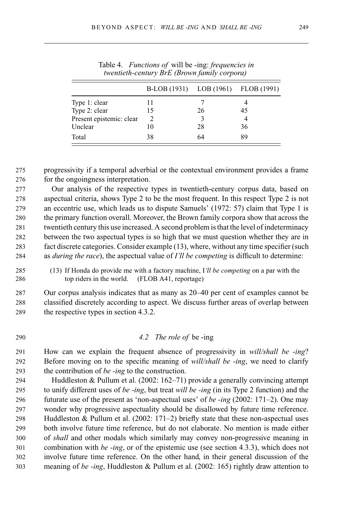|                          | B-LOB (1931) LOB (1961) FLOB (1991) |    |    |
|--------------------------|-------------------------------------|----|----|
| Type 1: clear            | 11                                  |    |    |
| Type 2: clear            | 15                                  | 26 | 45 |
| Present epistemic: clear |                                     |    |    |
| Unclear                  | 10                                  | 28 | 36 |
| Total                    | 38                                  | 64 | 89 |

Table 4. *Functions of* will be -ing: *frequencies in twentieth-century BrE (Brown family corpora)*

 progressivity if a temporal adverbial or the contextual environment provides a frame for the ongoingness interpretation.

 Our analysis of the respective types in twentieth-century corpus data, based on aspectual criteria, shows Type 2 to be the most frequent. In this respect Type 2 is not an eccentric use, which leads us to dispute Samuels' (1972: 57) claim that Type 1 is the primary function overall. Moreover, the Brown family corpora show that across the twentieth century this use increased. A second problem is that the level of indeterminacy between the two aspectual types is so high that we must question whether they are in fact discrete categories. Consider example (13), where, without any time specifier (such as *during the race*), the aspectual value of *I'll be competing* is difficult to determine:

 (13) If Honda do provide me with a factory machine, I*'ll be competing* on a par with the top riders in the world. (FLOB A41, reportage)

 Our corpus analysis indicates that as many as 20–40 per cent of examples cannot be classified discretely according to aspect. We discuss further areas of overlap between the respective types in section 4.3.2.

*4.2 The role of* be -ing

 How can we explain the frequent absence of progressivity in *will/shall be -ing*? Before moving on to the specific meaning of *will/shall be -ing*, we need to clarify the contribution of *be -ing* to the construction.

 Huddleston & Pullum et al. (2002: 162–71) provide a generally convincing attempt to unify different uses of *be -ing*, but treat *will be -ing* (in its Type 2 function) and the futurate use of the present as 'non-aspectual uses' of *be -ing* (2002: 171–2). One may wonder why progressive aspectuality should be disallowed by future time reference. Huddleston & Pullum et al. (2002: 171–2) briefly state that these non-aspectual uses both involve future time reference, but do not elaborate. No mention is made either of *shall* and other modals which similarly may convey non-progressive meaning in combination with *be -ing*, or of the epistemic use (see section 4.3.3), which does not involve future time reference. On the other hand, in their general discussion of the meaning of *be -ing*, Huddleston & Pullum et al. (2002: 165) rightly draw attention to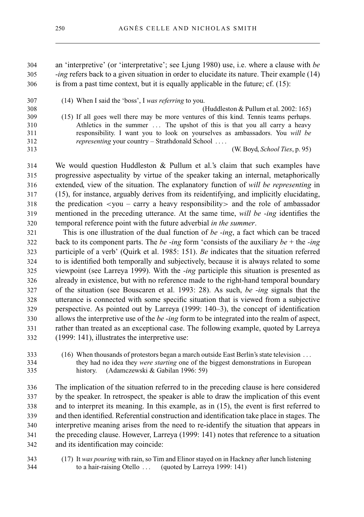an 'interpretive' (or 'interpretative'; see Ljung 1980) use, i.e. where a clause with *be -ing* refers back to a given situation in order to elucidate its nature. Their example (14) is from a past time context, but it is equally applicable in the future; cf. (15):

- 
- 
- 

(14) When I said the 'boss', I *was referring* to you.

- (Huddleston & Pullum et al. 2002: 165) (15) If all goes well there may be more ventures of this kind. Tennis teams perhaps. 310 Athletics in the summer ... The upshot of this is that you all carry a heavy responsibility. I want you to look on yourselves as ambassadors. You *will be representing* your country – Strathdonald School . . . .
- 

(W. Boyd, *School Ties*, p. 95)

 We would question Huddleston & Pullum et al.'s claim that such examples have progressive aspectuality by virtue of the speaker taking an internal, metaphorically extended, view of the situation. The explanatory function of *will be representing* in (15), for instance, arguably derives from its reidentifying, and implicitly elucidating, the predication <you – carry a heavy responsibility> and the role of ambassador mentioned in the preceding utterance. At the same time, *will be -ing* identifies the temporal reference point with the future adverbial *in the summer*.

 This is one illustration of the dual function of *be -ing*, a fact which can be traced back to its component parts. The *be -ing* form 'consists of the auxiliary *be* + the *-ing* participle of a verb' (Quirk et al. 1985: 151). *Be* indicates that the situation referred to is identified both temporally and subjectively, because it is always related to some viewpoint (see Larreya 1999). With the *-ing* participle this situation is presented as already in existence, but with no reference made to the right-hand temporal boundary of the situation (see Bouscaren et al. 1993: 28). As such, *be -ing* signals that the utterance is connected with some specific situation that is viewed from a subjective perspective. As pointed out by Larreya (1999: 140–3), the concept of identification allows the interpretive use of the *be -ing* form to be integrated into the realm of aspect, rather than treated as an exceptional case. The following example, quoted by Larreya (1999: 141), illustrates the interpretive use:

333 (16) When thousands of protestors began a march outside East Berlin's state television ... they had no idea they *were starting* one of the biggest demonstrations in European history. (Adamczewski & Gabilan 1996: 59)

 The implication of the situation referred to in the preceding clause is here considered by the speaker. In retrospect, the speaker is able to draw the implication of this event and to interpret its meaning. In this example, as in (15), the event is first referred to and then identified. Referential construction and identification take place in stages. The interpretive meaning arises from the need to re-identify the situation that appears in the preceding clause. However, Larreya (1999: 141) notes that reference to a situation and its identification may coincide:

 (17) It *was pouring* with rain, so Tim and Elinor stayed on in Hackney after lunch listening 344 to a hair-raising Otello ... (quoted by Larreya 1999: 141)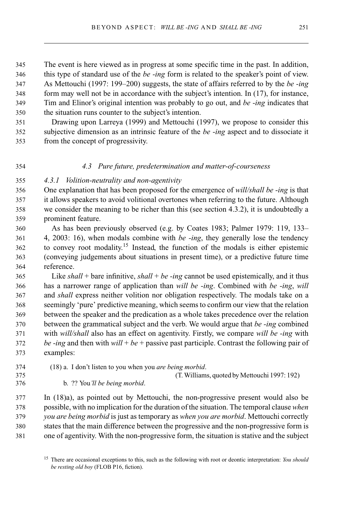The event is here viewed as in progress at some specific time in the past. In addition, this type of standard use of the *be -ing* form is related to the speaker's point of view. As Mettouchi (1997: 199–200) suggests, the state of affairs referred to by the *be -ing* form may well not be in accordance with the subject's intention. In (17), for instance, Tim and Elinor's original intention was probably to go out, and *be -ing* indicates that the situation runs counter to the subject's intention.

 Drawing upon Larreya (1999) and Mettouchi (1997), we propose to consider this subjective dimension as an intrinsic feature of the *be -ing* aspect and to dissociate it from the concept of progressivity.

#### *4.3 Pure future, predetermination and matter-of-courseness*

#### *4.3.1 Volition-neutrality and non-agentivity*

 One explanation that has been proposed for the emergence of *will/shall be -ing* is that it allows speakers to avoid volitional overtones when referring to the future. Although we consider the meaning to be richer than this (see section 4.3.2), it is undoubtedly a prominent feature.

 As has been previously observed (e.g. by Coates 1983; Palmer 1979: 119, 133– 4, 2003: 16), when modals combine with *be -ing*, they generally lose the tendency to convey root modality.<sup>15</sup> Instead, the function of the modals is either epistemic (conveying judgements about situations in present time), or a predictive future time reference.

 Like *shall* + bare infinitive, *shall* + *be -ing* cannot be used epistemically, and it thus has a narrower range of application than *will be -ing*. Combined with *be -ing*, *will* and *shall* express neither volition nor obligation respectively. The modals take on a seemingly 'pure' predictive meaning, which seems to confirm our view that the relation between the speaker and the predication as a whole takes precedence over the relation between the grammatical subject and the verb. We would argue that *be -ing* combined with *will/shall* also has an effect on agentivity. Firstly, we compare *will be -ing* with *be -ing* and then with *will* + *be* + passive past participle. Contrast the following pair of examples:

- 
- (18) a. I don't listen to you when you *are being morbid*.

(T.Williams, quoted by Mettouchi 1997: 192)

b. ?? You*'ll be being morbid*.

 In (18)a), as pointed out by Mettouchi, the non-progressive present would also be possible, with no implication for the duration of the situation. The temporal clause *when you are being morbid* is just as temporary as *when you are morbid*. Mettouchi correctly states that the main difference between the progressive and the non-progressive form is one of agentivity. With the non-progressive form, the situation is stative and the subject

<sup>&</sup>lt;sup>15</sup> There are occasional exceptions to this, such as the following with root or deontic interpretation: *You should be resting old boy* (FLOB P16, fiction).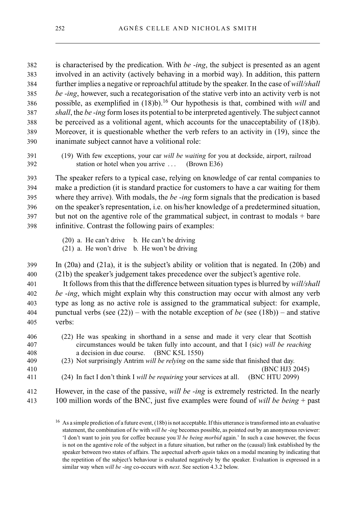is characterised by the predication. With *be -ing*, the subject is presented as an agent involved in an activity (actively behaving in a morbid way). In addition, this pattern further implies a negative or reproachful attitude by the speaker. In the case of *will/shall be -ing*, however, such a recategorisation of the stative verb into an activity verb is not possible, as exemplified in (18)b).<sup>16</sup> Our hypothesis is that, combined with *will* and *shall*, the *be -ing* form loses its potential to be interpreted agentively. The subject cannot be perceived as a volitional agent, which accounts for the unacceptability of (18)b). Moreover, it is questionable whether the verb refers to an activity in (19), since the inanimate subject cannot have a volitional role:

 (19) With few exceptions, your car *will be waiting* for you at dockside, airport, railroad 392 station or hotel when you arrive ... (Brown E36)

 The speaker refers to a typical case, relying on knowledge of car rental companies to make a prediction (it is standard practice for customers to have a car waiting for them where they arrive). With modals, the *be -ing* form signals that the predication is based on the speaker's representation, i.e. on his/her knowledge of a predetermined situation, but not on the agentive role of the grammatical subject, in contrast to modals + bare infinitive. Contrast the following pairs of examples:

> (20) a. He can't drive b. He can't be driving (21) a. He won't drive b. He won't be driving

 In (20a) and (21a), it is the subject's ability or volition that is negated. In (20b) and (21b) the speaker's judgement takes precedence over the subject's agentive role.

 It follows from this that the difference between situation types is blurred by *will/shall be -ing*, which might explain why this construction may occur with almost any verb type as long as no active role is assigned to the grammatical subject: for example, punctual verbs (see (22)) – with the notable exception of *be* (see (18b)) – and stative verbs:

- (22) He was speaking in shorthand in a sense and made it very clear that Scottish circumstances would be taken fully into account, and that I (sic) *will be reaching* a decision in due course. (BNC K5L 1550)
- 

(23) Not surprisingly Antrim *will be relying* on the same side that finished that day.

(24) In fact I don't think I *will be requiring* your services at all. (BNC HTU 2099)

 However, in the case of the passive, *will be -ing* is extremely restricted. In the nearly 100 million words of the BNC, just five examples were found of *will be being* + past

(BNC HJ3 2045)

 As a simple prediction of a future event, (18b) is not acceptable. If this utterance is transformed into an evaluative statement, the combination of *be* with *will be -ing* becomes possible, as pointed out by an anonymous reviewer: 'I don't want to join you for coffee because you*'ll be being morbid* again.' In such a case however, the focus is not on the agentive role of the subject in a future situation, but rather on the (causal) link established by the speaker between two states of affairs. The aspectual adverb *again* takes on a modal meaning by indicating that the repetition of the subject's behaviour is evaluated negatively by the speaker. Evaluation is expressed in a similar way when *will be -ing* co-occurs with *next*. See section 4.3.2 below.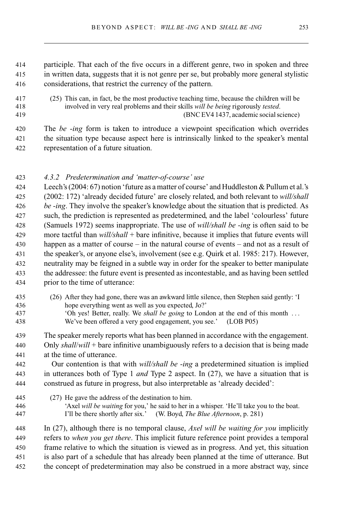participle. That each of the five occurs in a different genre, two in spoken and three in written data, suggests that it is not genre per se, but probably more general stylistic considerations, that restrict the currency of the pattern.

- 
- 

 (25) This can, in fact, be the most productive teaching time, because the children will be involved in very real problems and their skills *will be being* rigorously *tested*. (BNC EV4 1437, academic social science)

 The *be -ing* form is taken to introduce a viewpoint specification which overrides the situation type because aspect here is intrinsically linked to the speaker's mental representation of a future situation.

*4.3.2 Predetermination and 'matter-of-course' use*

 Leech's (2004: 67) notion 'future as a matter of course' and Huddleston & Pullum et al.'s (2002: 172) 'already decided future' are closely related, and both relevant to *will/shall be -ing*. They involve the speaker's knowledge about the situation that is predicted. As such, the prediction is represented as predetermined, and the label 'colourless' future (Samuels 1972) seems inappropriate. The use of *will/shall be -ing* is often said to be more tactful than *will/shall* + bare infinitive, because it implies that future events will happen as a matter of course – in the natural course of events – and not as a result of the speaker's, or anyone else's, involvement (see e.g. Quirk et al. 1985: 217). However, neutrality may be feigned in a subtle way in order for the speaker to better manipulate the addressee: the future event is presented as incontestable, and as having been settled prior to the time of utterance:

 (26) After they had gone, there was an awkward little silence, then Stephen said gently: 'I hope everything went as well as you expected, Jo?' 'Oh yes! Better, really. We *shall be going* to London at the end of this month . . . We've been offered a very good engagement, you see.' (LOB P05)

 The speaker merely reports what has been planned in accordance with the engagement. Only *shall*/*will* + bare infinitive unambiguously refers to a decision that is being made at the time of utterance.

 Our contention is that with *will/shall be -ing* a predetermined situation is implied in utterances both of Type 1 *and* Type 2 aspect. In (27), we have a situation that is construed as future in progress, but also interpretable as 'already decided':

 (27) He gave the address of the destination to him. 'Axel *will be waiting* for you,' he said to her in a whisper. 'He'll take you to the boat. I'll be there shortly after six.' (W. Boyd, *The Blue Afternoon*, p. 281)

 In (27), although there is no temporal clause, *Axel will be waiting for you* implicitly refers to *when you get there*. This implicit future reference point provides a temporal frame relative to which the situation is viewed as in progress. And yet, this situation is also part of a schedule that has already been planned at the time of utterance. But the concept of predetermination may also be construed in a more abstract way, since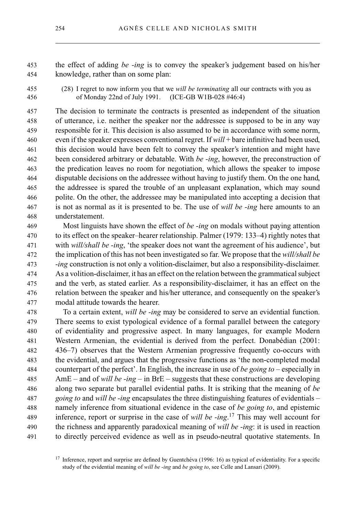the effect of adding *be -ing* is to convey the speaker's judgement based on his/her knowledge, rather than on some plan:

 (28) I regret to now inform you that we *will be terminating* all our contracts with you as 456 of Monday 22nd of July 1991.

 The decision to terminate the contracts is presented as independent of the situation of utterance, i.e. neither the speaker nor the addressee is supposed to be in any way responsible for it. This decision is also assumed to be in accordance with some norm, even if the speaker expresses conventional regret. If *will* + bare infinitive had been used, this decision would have been felt to convey the speaker's intention and might have been considered arbitrary or debatable. With *be -ing*, however, the preconstruction of the predication leaves no room for negotiation, which allows the speaker to impose disputable decisions on the addressee without having to justify them. On the one hand, the addressee is spared the trouble of an unpleasant explanation, which may sound polite. On the other, the addressee may be manipulated into accepting a decision that is not as normal as it is presented to be. The use of *will be -ing* here amounts to an understatement.

 Most linguists have shown the effect of *be -ing* on modals without paying attention to its effect on the speaker–hearer relationship. Palmer (1979: 133–4) rightly notes that with *will/shall be -ing*, 'the speaker does not want the agreement of his audience', but the implication of this has not been investigated so far. We propose that the *will/shall be -ing* construction is not only a volition-disclaimer, but also a responsibility-disclaimer. As a volition-disclaimer, it has an effect on the relation between the grammatical subject and the verb, as stated earlier. As a responsibility-disclaimer, it has an effect on the relation between the speaker and his/her utterance, and consequently on the speaker's modal attitude towards the hearer.

 To a certain extent, *will be -ing* may be considered to serve an evidential function. There seems to exist typological evidence of a formal parallel between the category of evidentiality and progressive aspect. In many languages, for example Modern Western Armenian, the evidential is derived from the perfect. Donabedian (2001: ´ 436–7) observes that the Western Armenian progressive frequently co-occurs with the evidential, and argues that the progressive functions as 'the non-completed modal counterpart of the perfect'. In English, the increase in use of *be going to* – especially in AmE – and of *will be -ing* – in BrE – suggests that these constructions are developing along two separate but parallel evidential paths. It is striking that the meaning of *be going to* and *will be -ing* encapsulates the three distinguishing features of evidentials – namely inference from situational evidence in the case of *be going to*, and epistemic 489 inference, report or surprise in the case of *will be -ing*.<sup>17</sup> This may well account for the richness and apparently paradoxical meaning of *will be -ing*: it is used in reaction to directly perceived evidence as well as in pseudo-neutral quotative statements. In

<sup>&</sup>lt;sup>17</sup> Inference, report and surprise are defined by Guentcheva (1996: 16) as typical of evidentiality. For a specific study of the evidential meaning of *will be -ing* and *be going to*, see Celle and Lansari (2009).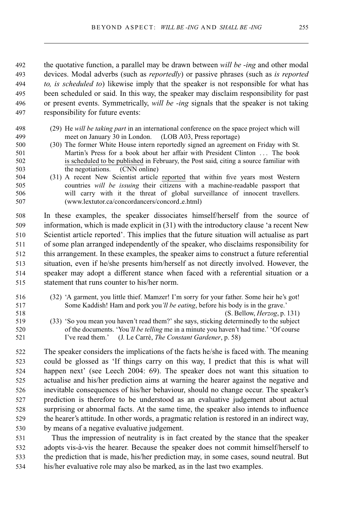the quotative function, a parallel may be drawn between *will be -ing* and other modal devices. Modal adverbs (such as *reportedly*) or passive phrases (such as *is reported to, is scheduled to*) likewise imply that the speaker is not responsible for what has been scheduled or said. In this way, the speaker may disclaim responsibility for past or present events. Symmetrically, *will be -ing* signals that the speaker is not taking responsibility for future events:

- (29) He *will be taking part* in an international conference on the space project which will meet on January 30 in London. (LOB A03, Press reportage)
- (30) The former White House intern reportedly signed an agreement on Friday with St. Martin's Press for a book about her affair with President Clinton . . . The book is scheduled to be published in February, the Post said, citing a source familiar with the negotiations. (CNN online)
- (31) A recent New Scientist article reported that within five years most Western countries *will be issuing* their citizens with a machine-readable passport that will carry with it the threat of global surveillance of innocent travellers. (www.lextutor.ca/concordancers/concord e.html)

 In these examples, the speaker dissociates himself/herself from the source of information, which is made explicit in (31) with the introductory clause 'a recent New Scientist article reported'. This implies that the future situation will actualise as part of some plan arranged independently of the speaker, who disclaims responsibility for this arrangement. In these examples, the speaker aims to construct a future referential situation, even if he/she presents him/herself as not directly involved. However, the speaker may adopt a different stance when faced with a referential situation or a statement that runs counter to his/her norm.

- (32) 'A garment, you little thief. Mamzer! I'm sorry for your father. Some heir he's got! Some Kaddish! Ham and pork you*'ll be eating*, before his body is in the grave.'
- (S. Bellow, *Herzog*, p. 131)
- (33) 'So you mean you haven't read them?' she says, sticking determinedly to the subject of the documents. 'You*'ll be telling* me in a minute you haven't had time.' 'Of course I've read them.' (J. Le Carre,´ *The Constant Gardener*, p. 58)

 The speaker considers the implications of the facts he/she is faced with. The meaning could be glossed as 'If things carry on this way, I predict that this is what will happen next' (see Leech 2004: 69). The speaker does not want this situation to actualise and his/her prediction aims at warning the hearer against the negative and inevitable consequences of his/her behaviour, should no change occur. The speaker's prediction is therefore to be understood as an evaluative judgement about actual surprising or abnormal facts. At the same time, the speaker also intends to influence the hearer's attitude. In other words, a pragmatic relation is restored in an indirect way, by means of a negative evaluative judgement.

 Thus the impression of neutrality is in fact created by the stance that the speaker adopts vis-a-vis the hearer. Because the speaker does not commit himself/herself to ` the prediction that is made, his/her prediction may, in some cases, sound neutral. But his/her evaluative role may also be marked, as in the last two examples.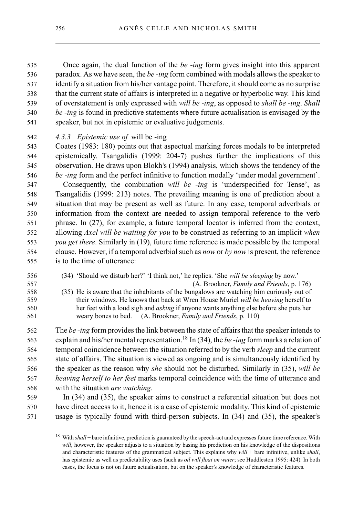Once again, the dual function of the *be -ing* form gives insight into this apparent paradox. As we have seen, the *be -ing* form combined with modals allows the speaker to identify a situation from his/her vantage point. Therefore, it should come as no surprise that the current state of affairs is interpreted in a negative or hyperbolic way. This kind of overstatement is only expressed with *will be -ing*, as opposed to *shall be -ing*. *Shall be -ing* is found in predictive statements where future actualisation is envisaged by the speaker, but not in epistemic or evaluative judgements.

#### *4.3.3 Epistemic use of* will be -ing

 Coates (1983: 180) points out that aspectual marking forces modals to be interpreted epistemically. Tsangalidis (1999: 204-7) pushes further the implications of this observation. He draws upon Blokh's (1994) analysis, which shows the tendency of the *be -ing* form and the perfect infinitive to function modally 'under modal government'. Consequently, the combination *will be -ing* is 'underspecified for Tense', as Tsangalidis (1999: 213) notes. The prevailing meaning is one of prediction about a situation that may be present as well as future. In any case, temporal adverbials or information from the context are needed to assign temporal reference to the verb phrase. In (27), for example, a future temporal locator is inferred from the context, allowing *Axel will be waiting for you* to be construed as referring to an implicit *when you get there*. Similarly in (19), future time reference is made possible by the temporal clause. However, if a temporal adverbial such as *now* or *by now* is present, the reference is to the time of utterance:

- (34) 'Should we disturb her?' 'I think not,' he replies. 'She *will be sleeping* by now.'
- (A. Brookner, *Family and Friends*, p. 176)
- (35) He is aware that the inhabitants of the bungalows are watching him curiously out of their windows. He knows that back at Wren House Muriel *will be heaving* herself to her feet with a loud sigh and *asking* if anyone wants anything else before she puts her weary bones to bed. (A. Brookner, *Family and Friends*, p. 110)

 The *be -ing* form provides the link between the state of affairs that the speaker intends to explain and his/her mental representation.18 In (34), the *be -ing* form marks a relation of temporal coincidence between the situation referred to by the verb *sleep* and the current state of affairs. The situation is viewed as ongoing and is simultaneously identified by the speaker as the reason why *she* should not be disturbed. Similarly in (35), *will be heaving herself to her feet* marks temporal coincidence with the time of utterance and with the situation *are watching*.

 In (34) and (35), the speaker aims to construct a referential situation but does not have direct access to it, hence it is a case of epistemic modality. This kind of epistemic usage is typically found with third-person subjects. In (34) and (35), the speaker's

 With *shall* + bare infinitive, prediction is guaranteed by the speech-act and expresses future time reference. With *will*, however, the speaker adjusts to a situation by basing his prediction on his knowledge of the dispositions and characteristic features of the grammatical subject. This explains why *will* + bare infinitive, unlike *shall*, has epistemic as well as predictability uses (such as *oil will float on water*; see Huddleston 1995: 424). In both cases, the focus is not on future actualisation, but on the speaker's knowledge of characteristic features.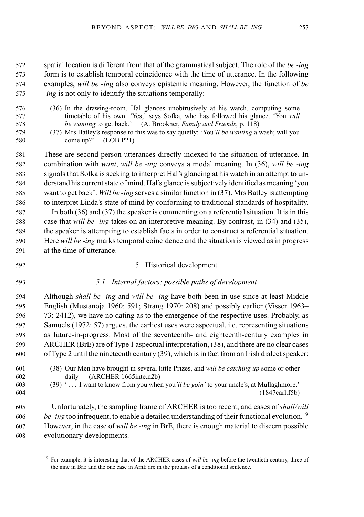spatial location is different from that of the grammatical subject. The role of the *be -ing* form is to establish temporal coincidence with the time of utterance. In the following examples, *will be -ing* also conveys epistemic meaning. However, the function of *be -ing* is not only to identify the situations temporally:

- (36) In the drawing-room, Hal glances unobtrusively at his watch, computing some 577 timetable of his own. 'Yes,' says Sofka, who has followed his glance. 'You *will*<br>578 be wanting to get back.' (A. Brookner, *Family and Friends*, p. 118) *be wanting* to get back.' (A. Brookner, *Family and Friends*, p. 118)
- (37) Mrs Batley's response to this was to say quietly: 'You*'ll be wanting* a wash; will you come up?' (LOB P21)

 These are second-person utterances directly indexed to the situation of utterance. In combination with *want*, *will be -ing* conveys a modal meaning. In (36), *will be -ing* signals that Sofka is seeking to interpret Hal's glancing at his watch in an attempt to un- derstand his current state of mind. Hal's glance is subjectively identified as meaning 'you want to get back'. *Will be -ing* serves a similar function in (37). Mrs Batley is attempting to interpret Linda's state of mind by conforming to traditional standards of hospitality. In both (36) and (37) the speaker is commenting on a referential situation. It is in this case that *will be -ing* takes on an interpretive meaning. By contrast, in (34) and (35), the speaker is attempting to establish facts in order to construct a referential situation. Here *will be -ing* marks temporal coincidence and the situation is viewed as in progress at the time of utterance.

- 
- 

## 5 Historical development

#### *5.1 Internal factors: possible paths of development*

 Although *shall be -ing* and *will be -ing* have both been in use since at least Middle English (Mustanoja 1960: 591; Strang 1970: 208) and possibly earlier (Visser 1963– 73: 2412), we have no dating as to the emergence of the respective uses. Probably, as Samuels (1972: 57) argues, the earliest uses were aspectual, i.e. representing situations as future-in-progress. Most of the seventeenth- and eighteenth-century examples in ARCHER (BrE) are of Type 1 aspectual interpretation, (38), and there are no clear cases of Type 2 until the nineteenth century (39), which is in fact from an Irish dialect speaker:

- (38) Our Men have brought in several little Prizes, and *will be catching up* some or other daily. (ARCHER 1665inte.n2b)
- 
- (39) ' . . . I want to know from you when you*'ll be goin'* to your uncle's, at Mullaghmore.' (1847carl.f5b)

 Unfortunately, the sampling frame of ARCHER is too recent, and cases of *shall/will*  $b$  *be -ing* too infrequent, to enable a detailed understanding of their functional evolution.<sup>19</sup> However, in the case of *will be -ing* in BrE, there is enough material to discern possible evolutionary developments.

<sup>&</sup>lt;sup>19</sup> For example, it is interesting that of the ARCHER cases of *will be -ing* before the twentieth century, three of the nine in BrE and the one case in AmE are in the protasis of a conditional sentence.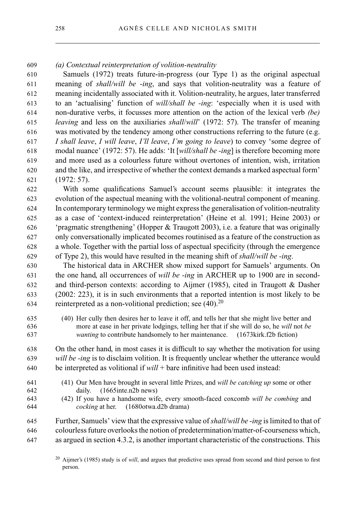*(a) Contextual reinterpretation of volition-neutrality*

 Samuels (1972) treats future-in-progress (our Type 1) as the original aspectual meaning of *shall/will be -ing*, and says that volition-neutrality was a feature of meaning incidentally associated with it. Volition-neutrality, he argues, later transferred to an 'actualising' function of *will/shall be -ing*: 'especially when it is used with non-durative verbs, it focusses more attention on the action of the lexical verb *(be) leaving* and less on the auxiliaries *shall*/*will*' (1972: 57). The transfer of meaning was motivated by the tendency among other constructions referring to the future (e.g. *I shall leave*, *I will leave*, *I'll leave*, *I'm going to leave*) to convey 'some degree of modal nuance' (1972: 57). He adds: 'It [*will/shall be -ing*] is therefore becoming more and more used as a colourless future without overtones of intention, wish, irritation and the like, and irrespective of whether the context demands a marked aspectual form' (1972: 57).

 With some qualifications Samuel's account seems plausible: it integrates the evolution of the aspectual meaning with the volitional-neutral component of meaning. In contemporary terminology we might express the generalisation of volition-neutrality as a case of 'context-induced reinterpretation' (Heine et al. 1991; Heine 2003) or 'pragmatic strengthening' (Hopper & Traugott 2003), i.e. a feature that was originally only conversationally implicated becomes routinised as a feature of the construction as a whole. Together with the partial loss of aspectual specificity (through the emergence of Type 2), this would have resulted in the meaning shift of *shall/will be -ing*.

 The historical data in ARCHER show mixed support for Samuels' arguments. On the one hand, all occurrences of *will be -ing* in ARCHER up to 1900 are in second- and third-person contexts: according to Aijmer (1985), cited in Traugott & Dasher (2002: 223), it is in such environments that a reported intention is most likely to be 634 reinterpreted as a non-volitional prediction; see  $(40).^{20}$ 

- (40) Her cully then desires her to leave it off, and tells her that she might live better and more at ease in her private lodgings, telling her that if she will do so, he *will* not *be wanting* to contribute handsomely to her maintenance. (1673kirk.f2b fiction)
- On the other hand, in most cases it is difficult to say whether the motivation for using *will be -ing* is to disclaim volition. It is frequently unclear whether the utterance would be interpreted as volitional if *will* + bare infinitive had been used instead:
- 
- (41) Our Men have brought in several little Prizes, and *will be catching up* some or other daily. (1665inte.n2b news)
- (42) If you have a handsome wife, every smooth-faced coxcomb *will be combing* and *cocking* at her. (1680otwa.d2b drama)
- Further, Samuels' view that the expressive value of*shall/will be -ing* is limited to that of colourless future overlooks the notion of predetermination/matter-of-courseness which, as argued in section 4.3.2, is another important characteristic of the constructions. This

 Aijmer's (1985) study is of *will*, and argues that predictive uses spread from second and third person to first person.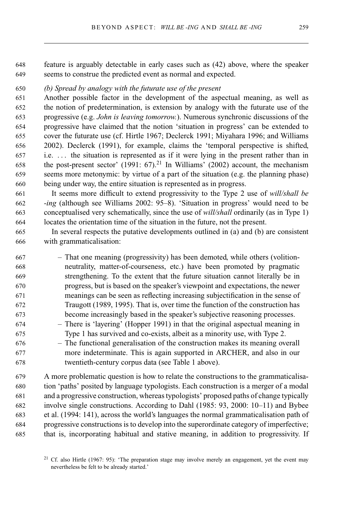feature is arguably detectable in early cases such as (42) above, where the speaker seems to construe the predicted event as normal and expected.

#### *(b) Spread by analogy with the futurate use of the present*

 Another possible factor in the development of the aspectual meaning, as well as the notion of predetermination, is extension by analogy with the futurate use of the progressive (e.g. *John is leaving tomorrow.*). Numerous synchronic discussions of the progressive have claimed that the notion 'situation in progress' can be extended to cover the futurate use (cf. Hirtle 1967; Declerck 1991; Miyahara 1996; and Williams 2002). Declerck (1991), for example, claims the 'temporal perspective is shifted, i.e. . . . the situation is represented as if it were lying in the present rather than in 658 the post-present sector' (1991: 67).<sup>21</sup> In Williams' (2002) account, the mechanism seems more metonymic: by virtue of a part of the situation (e.g. the planning phase) being under way, the entire situation is represented as in progress.

 It seems more difficult to extend progressivity to the Type 2 use of *will/shall be -ing* (although see Williams 2002: 95–8). 'Situation in progress' would need to be conceptualised very schematically, since the use of *will/shall* ordinarily (as in Type 1) locates the orientation time of the situation in the future, not the present.

 In several respects the putative developments outlined in (a) and (b) are consistent with grammaticalisation:

 – That one meaning (progressivity) has been demoted, while others (volition- neutrality, matter-of-courseness, etc.) have been promoted by pragmatic strengthening. To the extent that the future situation cannot literally be in progress, but is based on the speaker's viewpoint and expectations, the newer meanings can be seen as reflecting increasing subjectification in the sense of Traugott (1989, 1995). That is, over time the function of the construction has become increasingly based in the speaker's subjective reasoning processes.

- There is 'layering' (Hopper 1991) in that the original aspectual meaning in Type 1 has survived and co-exists, albeit as a minority use, with Type 2.
- The functional generalisation of the construction makes its meaning overall more indeterminate. This is again supported in ARCHER, and also in our twentieth-century corpus data (see Table 1 above).

 A more problematic question is how to relate the constructions to the grammaticalisa- tion 'paths' posited by language typologists. Each construction is a merger of a modal and a progressive construction, whereas typologists' proposed paths of change typically involve single constructions. According to Dahl (1985: 93, 2000: 10–11) and Bybee et al. (1994: 141), across the world's languages the normal grammaticalisation path of progressive constructions is to develop into the superordinate category of imperfective; that is, incorporating habitual and stative meaning, in addition to progressivity. If

<sup>&</sup>lt;sup>21</sup> Cf. also Hirtle (1967: 95): 'The preparation stage may involve merely an engagement, yet the event may nevertheless be felt to be already started.'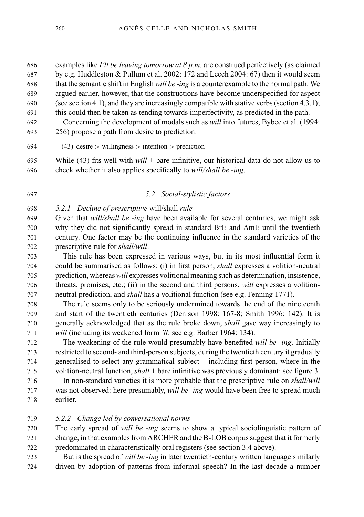examples like *I'll be leaving tomorrow at 8 p.m.* are construed perfectively (as claimed by e.g. Huddleston & Pullum et al. 2002: 172 and Leech 2004: 67) then it would seem that the semantic shift in English *will be -ing* is a counterexample to the normal path. We argued earlier, however, that the constructions have become underspecified for aspect 690 (see section 4.1), and they are increasingly compatible with stative verbs (section 4.3.1); this could then be taken as tending towards imperfectivity, as predicted in the path.

 Concerning the development of modals such as *will* into futures, Bybee et al. (1994: 256) propose a path from desire to prediction:

694 (43) desire  $>$  willingness  $>$  intention  $>$  prediction

 While (43) fits well with *will* + bare infinitive, our historical data do not allow us to check whether it also applies specifically to *will/shall be -ing*.

*5.2 Social-stylistic factors*

*5.2.1 Decline of prescriptive* will/shall *rule*

 Given that *will/shall be -ing* have been available for several centuries, we might ask why they did not significantly spread in standard BrE and AmE until the twentieth century. One factor may be the continuing influence in the standard varieties of the prescriptive rule for *shall/will*.

 This rule has been expressed in various ways, but in its most influential form it could be summarised as follows: (i) in first person, *shall* expresses a volition-neutral prediction, whereas*will* expresses volitional meaning such as determination, insistence, threats, promises, etc.; (ii) in the second and third persons, *will* expresses a volition-neutral prediction, and *shall* has a volitional function (see e.g. Fenning 1771).

 The rule seems only to be seriously undermined towards the end of the nineteenth and start of the twentieth centuries (Denison 1998: 167-8; Smith 1996: 142). It is generally acknowledged that as the rule broke down, *shall* gave way increasingly to *will* (including its weakened form *'ll*: see e.g. Barber 1964: 134).

 The weakening of the rule would presumably have benefited *will be -ing*. Initially restricted to second- and third-person subjects, during the twentieth century it gradually generalised to select any grammatical subject – including first person, where in the volition-neutral function, *shall* + bare infinitive was previously dominant: see figure 3.

 In non-standard varieties it is more probable that the prescriptive rule on *shall/will* was not observed: here presumably, *will be -ing* would have been free to spread much earlier.

#### *5.2.2 Change led by conversational norms*

 The early spread of *will be -ing* seems to show a typical sociolinguistic pattern of change, in that examples from ARCHER and the B-LOB corpus suggest that it formerly predominated in characteristically oral registers (see section 3.4 above).

 But is the spread of *will be -ing* in later twentieth-century written language similarly driven by adoption of patterns from informal speech? In the last decade a number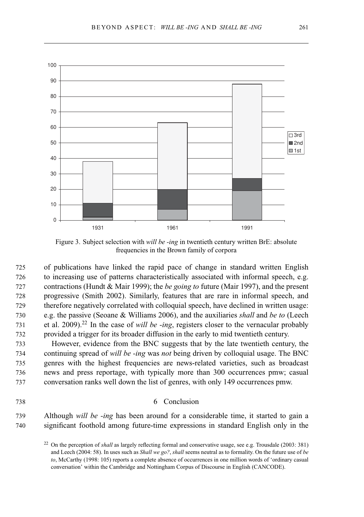

Figure 3. Subject selection with *will be -ing* in twentieth century written BrE: absolute frequencies in the Brown family of corpora

 of publications have linked the rapid pace of change in standard written English to increasing use of patterns characteristically associated with informal speech, e.g. contractions (Hundt & Mair 1999); the *be going to* future (Mair 1997), and the present progressive (Smith 2002). Similarly, features that are rare in informal speech, and therefore negatively correlated with colloquial speech, have declined in written usage: e.g. the passive (Seoane & Williams 2006), and the auxiliaries *shall* and *be to* (Leech et al. 2009).<sup>22</sup> In the case of *will be -ing*, registers closer to the vernacular probably provided a trigger for its broader diffusion in the early to mid twentieth century.

 However, evidence from the BNC suggests that by the late twentieth century, the continuing spread of *will be -ing* was *not* being driven by colloquial usage. The BNC genres with the highest frequencies are news-related varieties, such as broadcast news and press reportage, with typically more than 300 occurrences pmw; casual conversation ranks well down the list of genres, with only 149 occurrences pmw.

#### 6 Conclusion

 Although *will be -ing* has been around for a considerable time, it started to gain a significant foothold among future-time expressions in standard English only in the

 On the perception of *shall* as largely reflecting formal and conservative usage, see e.g. Trousdale (2003: 381) and Leech (2004: 58). In uses such as *Shall we go?*, *shall* seems neutral as to formality. On the future use of *be to*, McCarthy (1998: 105) reports a complete absence of occurrences in one million words of 'ordinary casual conversation' within the Cambridge and Nottingham Corpus of Discourse in English (CANCODE).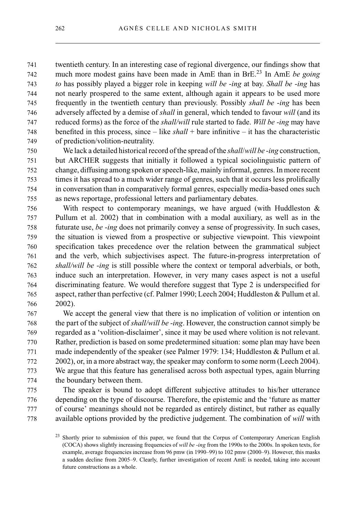twentieth century. In an interesting case of regional divergence, our findings show that 742 much more modest gains have been made in AmE than in BrE.<sup>23</sup> In AmE *be going to* has possibly played a bigger role in keeping *will be -ing* at bay. *Shall be -ing* has not nearly prospered to the same extent, although again it appears to be used more frequently in the twentieth century than previously. Possibly *shall be -ing* has been adversely affected by a demise of *shall* in general, which tended to favour *will* (and its reduced forms) as the force of the *shall/will* rule started to fade. *Will be -ing* may have benefited in this process, since – like *shall* + bare infinitive – it has the characteristic of prediction/volition-neutrality.

 We lack a detailed historical record of the spread of the *shall*/*will be -ing* construction, but ARCHER suggests that initially it followed a typical sociolinguistic pattern of change, diffusing among spoken or speech-like, mainly informal, genres. In more recent times it has spread to a much wider range of genres, such that it occurs less prolifically in conversation than in comparatively formal genres, especially media-based ones such as news reportage, professional letters and parliamentary debates.

 With respect to contemporary meanings, we have argued (with Huddleston & Pullum et al. 2002) that in combination with a modal auxiliary, as well as in the futurate use, *be -ing* does not primarily convey a sense of progressivity. In such cases, the situation is viewed from a prospective or subjective viewpoint. This viewpoint specification takes precedence over the relation between the grammatical subject and the verb, which subjectivises aspect. The future-in-progress interpretation of *shall/will be -ing* is still possible where the context or temporal adverbials, or both, induce such an interpretation. However, in very many cases aspect is not a useful discriminating feature. We would therefore suggest that Type 2 is underspecified for aspect, rather than perfective (cf. Palmer 1990; Leech 2004; Huddleston & Pullum et al. 2002).

 We accept the general view that there is no implication of volition or intention on the part of the subject of *shall/will be -ing*. However, the construction cannot simply be regarded as a 'volition-disclaimer', since it may be used where volition is not relevant. Rather, prediction is based on some predetermined situation: some plan may have been made independently of the speaker (see Palmer 1979: 134; Huddleston & Pullum et al. 2002), or, in a more abstract way, the speaker may conform to some norm (Leech 2004). We argue that this feature has generalised across both aspectual types, again blurring the boundary between them.

 The speaker is bound to adopt different subjective attitudes to his/her utterance depending on the type of discourse. Therefore, the epistemic and the 'future as matter of course' meanings should not be regarded as entirely distinct, but rather as equally available options provided by the predictive judgement. The combination of *will* with

<sup>&</sup>lt;sup>23</sup> Shortly prior to submission of this paper, we found that the Corpus of Contemporary American English (COCA) shows slightly increasing frequencies of *will be -ing* from the 1990s to the 2000s. In spoken texts, for example, average frequencies increase from 96 pmw (in 1990–99) to 102 pmw (2000–9). However, this masks a sudden decline from 2005–9. Clearly, further investigation of recent AmE is needed, taking into account future constructions as a whole.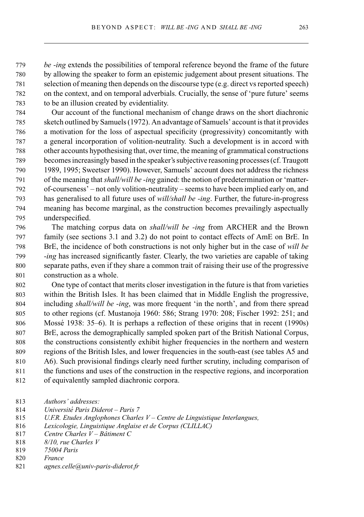*be -ing* extends the possibilities of temporal reference beyond the frame of the future by allowing the speaker to form an epistemic judgement about present situations. The selection of meaning then depends on the discourse type (e.g. direct vs reported speech) on the context, and on temporal adverbials. Crucially, the sense of 'pure future' seems to be an illusion created by evidentiality.

 Our account of the functional mechanism of change draws on the short diachronic sketch outlined by Samuels (1972). An advantage of Samuels' account is that it provides a motivation for the loss of aspectual specificity (progressivity) concomitantly with a general incorporation of volition-neutrality. Such a development is in accord with other accounts hypothesising that, over time, the meaning of grammatical constructions becomes increasingly based in the speaker's subjective reasoning processes (cf. Traugott 1989, 1995; Sweetser 1990). However, Samuels' account does not address the richness of the meaning that *shall/will be -ing* gained: the notion of predetermination or 'matter- of-courseness' – not only volition-neutrality – seems to have been implied early on, and has generalised to all future uses of *will/shall be -ing*. Further, the future-in-progress meaning has become marginal, as the construction becomes prevailingly aspectually underspecified.

 The matching corpus data on *shall/will be -ing* from ARCHER and the Brown family (see sections 3.1 and 3.2) do not point to contact effects of AmE on BrE. In BrE, the incidence of both constructions is not only higher but in the case of *will be -ing* has increased significantly faster. Clearly, the two varieties are capable of taking separate paths, even if they share a common trait of raising their use of the progressive construction as a whole.

 One type of contact that merits closer investigation in the future is that from varieties within the British Isles. It has been claimed that in Middle English the progressive, including *shall/will be -ing*, was more frequent 'in the north', and from there spread to other regions (cf. Mustanoja 1960: 586; Strang 1970: 208; Fischer 1992: 251; and 806 Mossé 1938: 35–6). It is perhaps a reflection of these origins that in recent (1990s) BrE, across the demographically sampled spoken part of the British National Corpus, the constructions consistently exhibit higher frequencies in the northern and western regions of the British Isles, and lower frequencies in the south-east (see tables A5 and A6). Such provisional findings clearly need further scrutiny, including comparison of the functions and uses of the construction in the respective regions, and incorporation of equivalently sampled diachronic corpora.

- *Authors' addresses:*
- *Universite Paris Diderot Paris 7 ´*
- *U.F.R. Etudes Anglophones Charles V Centre de Linguistique Interlangues,*
- *Lexicologie, Linguistique Anglaise et de Corpus (CLILLAC)*
- *Centre Charles V Batiment C ˆ*
- *8/10, rue Charles V*
- *75004 Paris*
- *France*
- *agnes.celle@univ-paris-diderot.fr*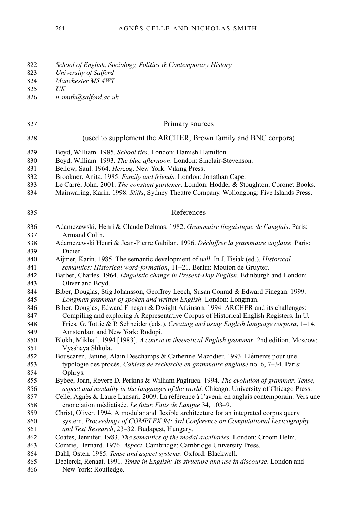| 822<br>823<br>824<br>825<br>826        | School of English, Sociology, Politics & Contemporary History<br>University of Salford<br>Manchester M5 4WT<br>UK<br>n.smith@salford.ac.uk                                                                                                                                                                                                                                                                                                            |
|----------------------------------------|-------------------------------------------------------------------------------------------------------------------------------------------------------------------------------------------------------------------------------------------------------------------------------------------------------------------------------------------------------------------------------------------------------------------------------------------------------|
| 827                                    | Primary sources                                                                                                                                                                                                                                                                                                                                                                                                                                       |
| 828                                    | (used to supplement the ARCHER, Brown family and BNC corpora)                                                                                                                                                                                                                                                                                                                                                                                         |
|                                        |                                                                                                                                                                                                                                                                                                                                                                                                                                                       |
| 829<br>830<br>831<br>832<br>833<br>834 | Boyd, William. 1985. School ties. London: Hamish Hamilton.<br>Boyd, William. 1993. The blue afternoon. London: Sinclair-Stevenson.<br>Bellow, Saul. 1964. Herzog. New York: Viking Press.<br>Brookner, Anita. 1985. Family and friends. London: Jonathan Cape.<br>Le Carré, John. 2001. The constant gardener. London: Hodder & Stoughton, Coronet Books.<br>Mainwaring, Karin. 1998. Stiffs, Sydney Theatre Company. Wollongong: Five Islands Press. |
| 835                                    | References                                                                                                                                                                                                                                                                                                                                                                                                                                            |
| 836                                    | Adamczewski, Henri & Claude Delmas. 1982. Grammaire linguistique de l'anglais. Paris:                                                                                                                                                                                                                                                                                                                                                                 |
| 837                                    | Armand Colin.                                                                                                                                                                                                                                                                                                                                                                                                                                         |
| 838<br>839                             | Adamczewski Henri & Jean-Pierre Gabilan. 1996. Déchiffrer la grammaire anglaise. Paris:<br>Didier.                                                                                                                                                                                                                                                                                                                                                    |
| 840                                    | Aijmer, Karin. 1985. The semantic development of will. In J. Fisiak (ed.), Historical                                                                                                                                                                                                                                                                                                                                                                 |
| 841                                    | semantics: Historical word-formation, 11-21. Berlin: Mouton de Gruyter.                                                                                                                                                                                                                                                                                                                                                                               |
| 842                                    | Barber, Charles. 1964. Linguistic change in Present-Day English. Edinburgh and London:                                                                                                                                                                                                                                                                                                                                                                |
| 843                                    | Oliver and Boyd.                                                                                                                                                                                                                                                                                                                                                                                                                                      |
| 844                                    | Biber, Douglas, Stig Johansson, Geoffrey Leech, Susan Conrad & Edward Finegan. 1999.                                                                                                                                                                                                                                                                                                                                                                  |
| 845                                    | Longman grammar of spoken and written English. London: Longman.                                                                                                                                                                                                                                                                                                                                                                                       |
| 846                                    | Biber, Douglas, Edward Finegan & Dwight Atkinson. 1994. ARCHER and its challenges:                                                                                                                                                                                                                                                                                                                                                                    |
| 847                                    | Compiling and exploring A Representative Corpus of Historical English Registers. In U.                                                                                                                                                                                                                                                                                                                                                                |
| 848                                    | Fries, G. Tottie & P. Schneider (eds.), Creating and using English language corpora, 1–14.                                                                                                                                                                                                                                                                                                                                                            |
| 849                                    | Amsterdam and New York: Rodopi.                                                                                                                                                                                                                                                                                                                                                                                                                       |
| 850                                    | Blokh, Mikhail. 1994 [1983]. A course in theoretical English grammar. 2nd edition. Moscow:                                                                                                                                                                                                                                                                                                                                                            |
| 851                                    | Vysshaya Shkola.                                                                                                                                                                                                                                                                                                                                                                                                                                      |
| 852                                    | Bouscaren, Janine, Alain Deschamps & Catherine Mazodier. 1993. Eléments pour une                                                                                                                                                                                                                                                                                                                                                                      |
| 853                                    | typologie des procès. Cahiers de recherche en grammaire anglaise no. 6, 7-34. Paris:                                                                                                                                                                                                                                                                                                                                                                  |
| 854                                    | Ophrys.                                                                                                                                                                                                                                                                                                                                                                                                                                               |
| 855                                    | Bybee, Joan, Revere D. Perkins & William Pagliuca. 1994. The evolution of grammar: Tense,                                                                                                                                                                                                                                                                                                                                                             |
| 856                                    | aspect and modality in the languages of the world. Chicago: University of Chicago Press.                                                                                                                                                                                                                                                                                                                                                              |
| 857                                    | Celle, Agnès & Laure Lansari. 2009. La référence à l'avenir en anglais contemporain: Vers une                                                                                                                                                                                                                                                                                                                                                         |
| 858                                    | énonciation médiatisée. Le futur, Faits de Langue 34, 103-9.                                                                                                                                                                                                                                                                                                                                                                                          |
| 859                                    | Christ, Oliver. 1994. A modular and flexible architecture for an integrated corpus query                                                                                                                                                                                                                                                                                                                                                              |
| 860                                    | system. Proceedings of COMPLEX'94: 3rd Conference on Computational Lexicography                                                                                                                                                                                                                                                                                                                                                                       |
| 861                                    | and Text Research, 23-32. Budapest, Hungary.                                                                                                                                                                                                                                                                                                                                                                                                          |
| 862                                    | Coates, Jennifer. 1983. The semantics of the modal auxiliaries. London: Croom Helm.                                                                                                                                                                                                                                                                                                                                                                   |
| 863<br>864                             | Comrie, Bernard. 1976. Aspect. Cambridge: Cambridge University Press.<br>Dahl, Östen. 1985. Tense and aspect systems. Oxford: Blackwell.                                                                                                                                                                                                                                                                                                              |

 Declerck, Renaat. 1991. *Tense in English: Its structure and use in discourse*. London and New York: Routledge.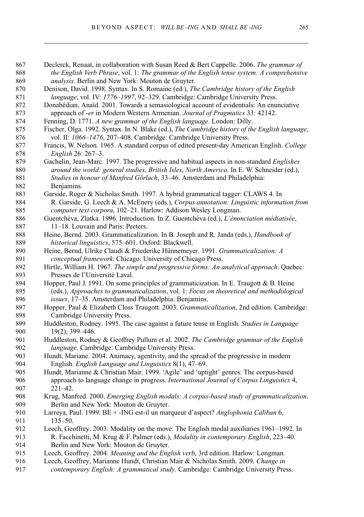| 867 | Declerck, Renaat, in collaboration with Susan Reed & Bert Cappelle. 2006. The grammar of  |
|-----|-------------------------------------------------------------------------------------------|
| 868 | the English Verb Phrase, vol. 1: The grammar of the English tense system: A comprehensive |
| 869 | <i>analysis.</i> Berlin and New York: Mouton de Gruyter.                                  |

- 870 Denison, David. 1998. Syntax. In S. Romaine (ed.), *The Cambridge history of the English*<br>871 *Ianguage. vol. IV: 1776–1997.* 92–329. Cambridge: Cambridge University Press. language, vol. IV: 1776–1997, 92–329. Cambridge: Cambridge University Press.
- 872 Donabédian, Anaïd. 2001. Towards a semasiological account of evidentials: An enunciative approach of -*er* in Modern Western Armenian. *Journal of Pragmatics* 33: 42142.
- Fenning, D. 1771. *A new grammar of the English language*. London: Dilly.
- Fischer, Olga. 1992. Syntax. In N. Blake (ed.), *The Cambridge history of the English language*, vol. II: *1066–1476*, 207–408. Cambridge: Cambridge University Press.
- Francis, W. Nelson. 1965. A standard corpus of edited present-day American English. *College English* 26: 267–3.
- Gachelin, Jean-Marc. 1997. The progressive and habitual aspects in non-standard *Englishes around the world: general studies, British Isles, North America*. In E. W. Schneider (ed.), *Studies in honour of Manfred Görlach*, 33–46. Amsterdam and Philadelphia: Benjamins.
- Garside, Roger & Nicholas Smith. 1997. A hybrid grammatical tagger: CLAWS 4. In R. Garside, G. Leech & A. McEnery (eds.), *Corpus annotation: Linguistic information from computer text corpora*, 102–21. Harlow: Addison Wesley Longman.
- 886 Guentchéva, Zlatka. 1996. Introduction. In Z. Guentchéva (ed.), *L'énonciation médiatisée*, <sup>887</sup> 11–18. Louvain and Paris: Peeters. 11–18. Louvain and Paris: Peeters.
- Heine, Bernd. 2003. Grammaticalization. In B. Joseph and R. Janda (eds.), *Handbook of historical linguistics*, 575–601. Oxford: Blackwell.
- 890 Heine, Bernd, Ulrike Claudi & Friederike Hünnemeyer. 1991. *Grammaticalization: A conceptual framework*. Chicago: University of Chicago Press.
- Hirtle, William H. 1967. *The simple and progressive forms: An analytical approach*. Quebec: Presses de l'Universite Laval. ´
- Hopper, Paul J. 1991. On some principles of grammaticization. In E. Traugott & B. Heine (eds.), *Approaches to grammaticalization*, vol. 1: *Focus on theoretical and methodological issues*, 17–35. Amsterdam and Philadelphia: Benjamins.
- Hopper, Paul & Elizabeth Closs Traugott. 2003. *Grammaticalization*, 2nd edition. Cambridge: Cambridge University Press.
- Huddleston, Rodney. 1995. The case against a future tense in English. *Studies in Language* 900 19(2), 399–446.
- Huddleston, Rodney & Geoffrey Pullum et al. 2002. *The Cambridge grammar of the English language*. Cambridge: Cambridge University Press.
- Hundt, Mariane. 2004. Animacy, agentivity, and the spread of the progressive in modern English. *English Language and Linguistics* 8(1), 47–69.
- Hundt, Marianne & Christian Mair. 1999. 'Agile' and 'uptight' genres: The corpus-based approach to language change in progress. *International Journal of Corpus Linguistics* 4, 221–42.
- Krug, Manfred. 2000. *Emerging English modals: A corpus-based study of grammaticalization*. Berlin and New York: Mouton de Gruyter.
- Larreya, Paul. 1999. BE + -ING est-il un marqueur d'aspect? *Anglophonia Caliban* 6, 135–50.
- Leech, Geoffrey. 2003. Modality on the move: The English modal auxiliaries 1961–1992. In R. Facchinetti, M. Krug & F. Palmer (eds.), *Modality in contemporary English*, 223–40. Berlin and New York: Mouton de Gruyter.
- Leech, Geoffrey. 2004. *Meaning and the English verb*, 3rd edition. Harlow: Longman.
- Leech, Geoffrey, Marianne Hundt, Christian Mair & Nicholas Smith. 2009. *Change in*
- *contemporary English: A grammatical study*. Cambridge: Cambridge University Press.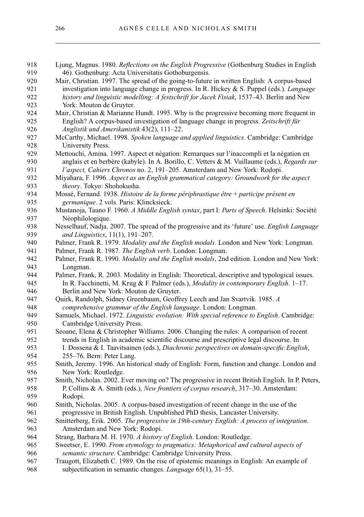| 918 | Ljung, Magnus. 1980. Reflections on the English Progressive (Gothenburg Studies in English      |
|-----|-------------------------------------------------------------------------------------------------|
| 919 | 46). Gothenburg: Acta Universitatis Gothoburgensis.                                             |
| 920 | Mair, Christian. 1997. The spread of the going-to-future in written English: A corpus-based     |
| 921 | investigation into language change in progress. In R. Hickey & S. Puppel (eds.). Language       |
| 922 | history and linguistic modelling: A festschrift for Jacek Fisiak, 1537-43. Berlin and New       |
| 923 | York: Mouton de Gruyter.                                                                        |
| 924 | Mair, Christian & Marianne Hundt. 1995. Why is the progressive becoming more frequent in        |
| 925 | English? A corpus-based investigation of language change in progress. Zeitschrift für           |
| 926 | Anglistik und Amerikanistik 43(2), 111-22.                                                      |
| 927 | McCarthy, Michael. 1998. Spoken language and applied linguistics. Cambridge: Cambridge          |
| 928 | University Press.                                                                               |
| 929 | Mettouchi, Amina. 1997. Aspect et négation: Remarques sur l'inaccompli et la négation en        |
| 930 | anglais et en berbère (kabyle). In A. Borillo, C. Vetters & M. Vuillaume (eds.), Regards sur    |
| 931 | l'aspect, Cahiers Chronos no. 2, 191-205. Amsterdam and New York: Rodopi.                       |
| 932 | Miyahara, F. 1996. Aspect as an English grammatical category: Groundwork for the aspect         |
| 933 | theory. Tokyo: Shohokusha.                                                                      |
| 934 | Mossé, Fernand. 1938. Histoire de la forme périphrastique être + participe présent en           |
| 935 | germanique. 2 vols. Paris: Klincksieck.                                                         |
| 936 | Mustanoja, Tauno F. 1960. A Middle English syntax, part I: Parts of Speech. Helsinki: Société   |
| 937 | Néophilologique.                                                                                |
| 938 | Nesselhauf, Nadja. 2007. The spread of the progressive and its 'future' use. English Language   |
| 939 | and Linguistics, 11(1), 191-207.                                                                |
| 940 | Palmer, Frank R. 1979. Modality and the English modals. London and New York: Longman.           |
| 941 | Palmer, Frank R. 1987. The English verb. London: Longman.                                       |
| 942 | Palmer, Frank R. 1990. Modality and the English modals, 2nd edition. London and New York:       |
| 943 | Longman.                                                                                        |
| 944 | Palmer, Frank, R. 2003. Modality in English: Theoretical, descriptive and typological issues.   |
| 945 | In R. Facchinetti, M. Krug & F. Palmer (eds.), Modality in contemporary English. 1-17.          |
| 946 | Berlin and New York: Mouton de Gruyter.                                                         |
| 947 | Quirk, Randolph, Sidney Greenbaum, Geoffrey Leech and Jan Svartvik. 1985. A                     |
| 948 | comprehensive grammar of the English language. London: Longman.                                 |
| 949 | Samuels, Michael. 1972. Linguistic evolution: With special reference to English. Cambridge:     |
| 950 | Cambridge University Press.                                                                     |
| 951 | Seoane, Elena & Christopher Williams. 2006. Changing the rules: A comparison of recent          |
| 952 | trends in English in academic scientific discourse and prescriptive legal discourse. In         |
| 953 | I. Dossena & I. Taavitsainen (eds.), Diachronic perspectives on domain-specific English,        |
| 954 | 255-76. Bern: Peter Lang.                                                                       |
| 955 | Smith, Jeremy. 1996. An historical study of English: Form, function and change. London and      |
| 956 | New York: Routledge.                                                                            |
| 957 | Smith, Nicholas. 2002. Ever moving on? The progressive in recent British English. In P. Peters, |
| 958 | P. Collins & A. Smith (eds.), New frontiers of corpus research, 317-30. Amsterdam:              |
| 959 | Rodopi.                                                                                         |
| 960 | Smith, Nicholas. 2005. A corpus-based investigation of recent change in the use of the          |
| 961 | progressive in British English. Unpublished PhD thesis, Lancaster University.                   |
| 962 | Smitterberg, Erik. 2005. The progressive in 19th-century English: A process of integration.     |
| 963 | Amsterdam and New York: Rodopi.                                                                 |
| 964 | Strang, Barbara M. H. 1970. A history of English. London: Routledge.                            |
| 965 | Sweetser, E. 1990. From etymology to pragmatics: Metaphorical and cultural aspects of           |
| 966 | semantic structure. Cambridge: Cambridge University Press.                                      |
| 967 | Traugott, Elizabeth C. 1989. On the rise of epistemic meanings in English: An example of        |
| 968 | subjectification in semantic changes. Language 65(1), 31-55.                                    |
|     |                                                                                                 |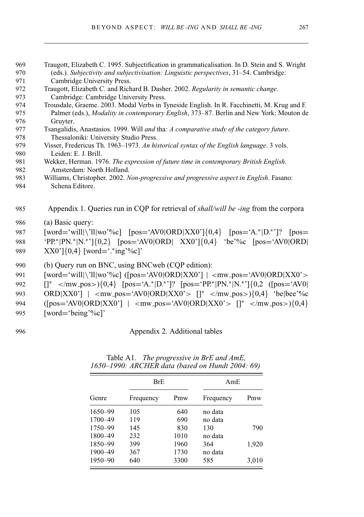- 969 Traugott, Elizabeth C. 1995. Subjectification in grammaticalisation. In D. Stein and S. Wright 970 (eds.). *Subjectivity and subjectivisation: Linguistic perspectives*, 31–54. Cambridge: 971 Cambridge University Press.
- 972 Traugott, Elizabeth C. and Richard B. Dasher. 2002. *Regularity in semantic change*. 973 Cambridge: Cambridge University Press.
- 974 Trousdale, Graeme. 2003. Modal Verbs in Tyneside English. In R. Facchinetti, M. Krug and F. 975 Palmer (eds.), *Modality in contemporary English*, 373–87. Berlin and New York: Mouton de 976 Gruyter.
- 977 Tsangalidis, Anastasios. 1999. Will *and* tha*: A comparative study of the category future*. Thessaloniki: University Studio Press.
- 979 Visser, Fredericus Th. 1963–1973. *An historical syntax of the English language*. 3 vols. 980 Leiden: E. J. Brill.
- 981 Wekker, Herman. 1976. *The expression of future time in contemporary British English*. 982 Amsterdam: North Holland.
- 983 Williams, Christopher. 2002. *Non-progressive and progressive aspect in English*. Fasano: 984 Schena Editore.
- 985 Appendix 1. Queries run in CQP for retrieval of *shall/will be -ing* from the corpora
- 986 (a) Basic query:
- 987 [word='will|\'ll|wo'%c] [pos='AV0|ORD|XX0']{0,4} [pos='A.\*|D.\*']? [pos=<br>988 'PP.\*|PN.\*|N.\*'1{0.2} [pos='AV0|ORD| XX0']{0.4} 'be'%c [pos='AV0|ORD| 'PP.∗|PN.∗|N.<sup>∗</sup> <sup>988</sup> ']{0,2} [pos='AV0|ORD| XX0']{0,4} 'be'%c [pos='AV0|ORD|  $XX0'$ ]{0,4} [word=".\*ing'%c]'
- 990 (b) Query run on BNC, using BNCweb (CQP edition):
- 991 [word='will|\'ll|wo'%c] ([pos='AV0|ORD|XX0'] | <mw\_pos='AV0|ORD|XX0'><br>992 []\* </mw\_pos>){0.4} [pos='A.\*|D.\*']? [pos='PP.\*|PN.\*|N.\*']{0.2 ([pos='AV0|
- $[]^*$  </mw\_pos>){0,4} [pos='A.\*|D.\*']? [pos='PP.\*|PN.\*|N.\*']{0,2 ([pos='AV0|<br>993 ORDIXX0'] | <mw\_pos='AV0|ORDIXX0'>  $[]^*$  </mw\_pos>}{0.4} 'belbee'%c
- ORD|XX0'] | <mw pos='AV0|ORD|XX0'> [] <sup>993</sup> <sup>∗</sup> </mw pos>){0,4} 'be|bee'%c
- $($ [pos='AV0|ORD|XX0'] | <mw\_pos='AV0|ORD|XX0'> []\* </mw\_pos>) ${0,4}$ <br>995 [word='being'%c]'
- [word='being'%c]'

996 Appendix 2. Additional tables

|         | BrE       |      | AmE       |       |
|---------|-----------|------|-----------|-------|
| Genre   | Frequency | Pmw  | Frequency | Pmw   |
| 1650-99 | 105       | 640  | no data   |       |
| 1700-49 | 119       | 690  | no data   |       |
| 1750-99 | 145       | 830  | 130       | 790   |
| 1800-49 | 232       | 1010 | no data   |       |
| 1850-99 | 399       | 1960 | 364       | 1,920 |
| 1900-49 | 367       | 1730 | no data   |       |
| 1950-90 | 640       | 3300 | 585       | 3,010 |

Table A1. *The progressive in BrE and AmE, 1650–1990: ARCHER data (based on Hundt 2004: 69)*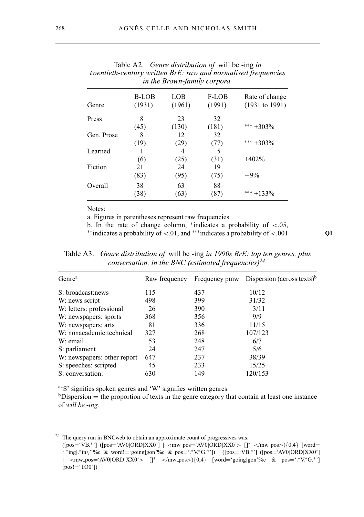| Genre      | B-LOB<br>(1931) | LOB<br>(1961) | F-LOB<br>(1991) | Rate of change<br>(1931 to 1991) |
|------------|-----------------|---------------|-----------------|----------------------------------|
| Press      | 8<br>(45)       | 23<br>(130)   | 32<br>(181)     | *** $+303%$                      |
| Gen. Prose | 8<br>(19)       | 12<br>(29)    | 32<br>(77)      | *** $+303%$                      |
| Learned    | (6)             | 4<br>(25)     | 5<br>(31)       | $+402%$                          |
| Fiction    | 21<br>(83)      | 24<br>(95)    | 19<br>(75)      | $-9%$                            |
| Overall    | 38<br>(38)      | 63<br>(63)    | 88<br>(87)      | *** $+133%$                      |

Table A2. *Genre distribution of* will be -ing *in twentieth-century written BrE: raw and normalised frequencies in the Brown-family corpora*

Notes:

a. Figures in parentheses represent raw frequencies.

b. In the rate of change column, \*indicates a probability of  $\lt$ .05,

∗∗indicates a probability of <.01, and ∗∗∗indicates a probability of <.001

**Q1**

Table A3. *Genre distribution of* will be -ing *in 1990s BrE: top ten genres, plus conversation, in the BNC (estimated frequencies)24*

| Genre <sup>a</sup>          | Raw frequency | Frequency pmw | Dispersion (across texts) <sup>b</sup> |
|-----------------------------|---------------|---------------|----------------------------------------|
| S: broadcast:news           | 115           | 437           | 10/12                                  |
| W: news script              | 498           | 399           | 31/32                                  |
| W: letters: professional    | 26            | 390           | 3/11                                   |
| W: newspapers: sports       | 368           | 356           | 9/9                                    |
| W: newspapers: arts         | 81            | 336           | 11/15                                  |
| W: nonacademic: technical   | 327           | 268           | 107/123                                |
| W: email                    | 53            | 248           | 6/7                                    |
| S: parliament               | 24            | 247           | 5/6                                    |
| W: newspapers: other report | 647           | 237           | 38/39                                  |
| S: speeches: scripted       | 45            | 233           | 15/25                                  |
| S: conversation:            | 630           | 149           | 120/153                                |

<sup>a</sup>'S' signifies spoken genres and 'W' signifies written genres.

 $b$ Dispersion  $=$  the proportion of texts in the genre category that contain at least one instance of *will be -ing.*

 $24$  The query run in BNCweb to obtain an approximate count of progressives was:

<sup>([</sup>pos='VB.∗'] ([pos='AV0|ORD|XX0'] | <mw pos='AV0|ORD|XX0'> []<sup>∗</sup> </mw pos>){0,4} [word= '.∗ing|. <sup>∗</sup>in\''%c & word!='going|gon'%c & pos='.∗V.∗G.∗']) | ([pos='VB.∗'] ([pos='AV0|ORD|XX0'] | <mw pos='AV0|ORD|XX0'> []<sup>∗</sup> </mw pos>){0,4} [word='going|gon'%c & pos='.∗V.∗G.∗']  $[pos!=`TO0"]$